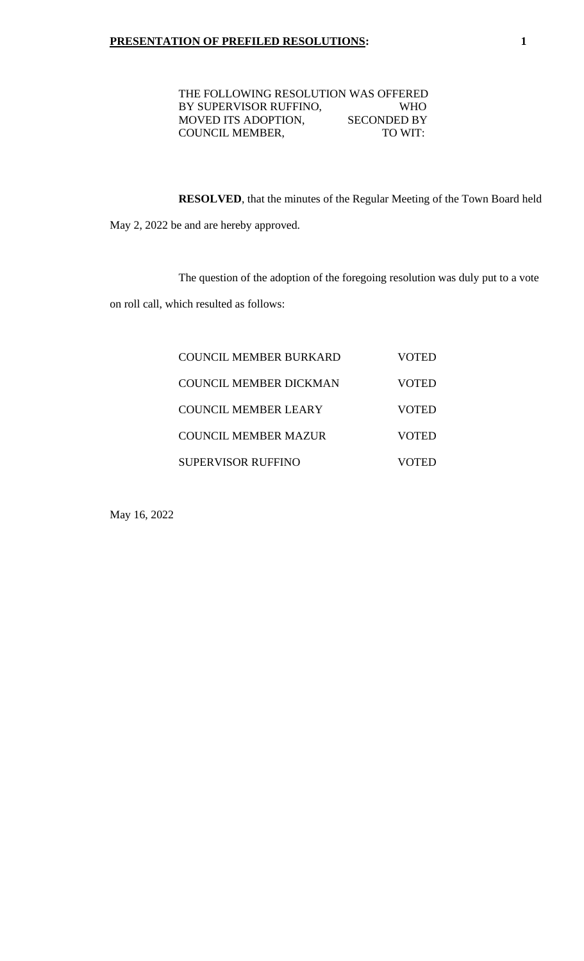| THE FOLLOWING RESOLUTION WAS OFFERED |                    |
|--------------------------------------|--------------------|
| BY SUPERVISOR RUFFINO,               | WHO.               |
| <b>MOVED ITS ADOPTION,</b>           | <b>SECONDED BY</b> |
| <b>COUNCIL MEMBER,</b>               | TO WIT:            |
|                                      |                    |

**RESOLVED**, that the minutes of the Regular Meeting of the Town Board held

May 2, 2022 be and are hereby approved.

The question of the adoption of the foregoing resolution was duly put to a vote

on roll call, which resulted as follows:

| COUNCIL MEMBER BURKARD | VOTED |
|------------------------|-------|
| COUNCIL MEMBER DICKMAN | VOTED |
| COUNCIL MEMBER LEARY   | VOTED |
| COUNCIL MEMBER MAZUR   | VOTED |
| SUPERVISOR RUFFINO     | VOTED |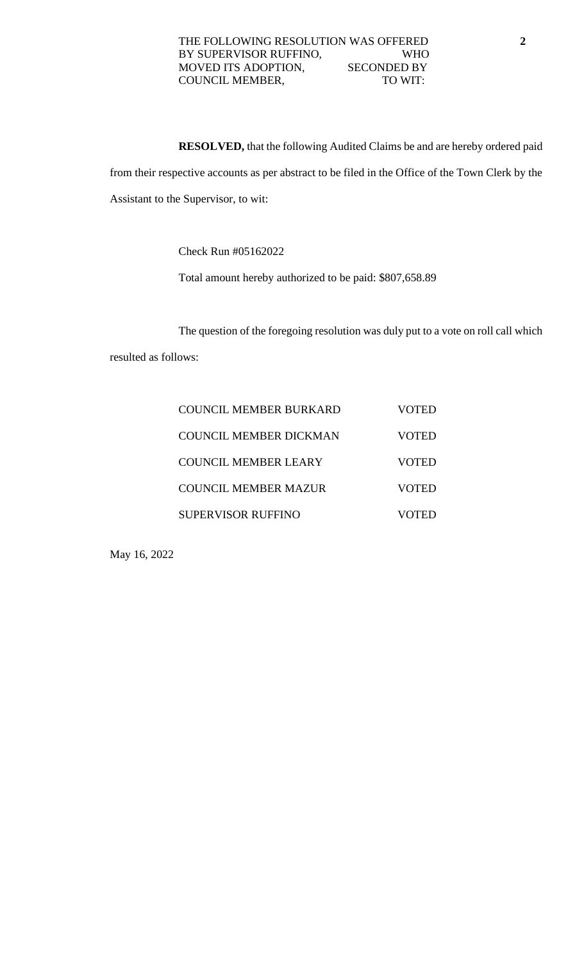#### THE FOLLOWING RESOLUTION WAS OFFERED **2** BY SUPERVISOR RUFFINO, WHO MOVED ITS ADOPTION, SECONDED BY COUNCIL MEMBER, TO WIT:

**RESOLVED,** that the following Audited Claims be and are hereby ordered paid from their respective accounts as per abstract to be filed in the Office of the Town Clerk by the Assistant to the Supervisor, to wit:

Check Run #05162022

Total amount hereby authorized to be paid: \$807,658.89

The question of the foregoing resolution was duly put to a vote on roll call which resulted as follows:

| COUNCIL MEMBER BURKARD    | VOTED |
|---------------------------|-------|
| COUNCIL MEMBER DICKMAN    | VOTED |
| COUNCIL MEMBER LEARY      | VOTED |
| COUNCIL MEMBER MAZUR      | VOTED |
| <b>SUPERVISOR RUFFINO</b> |       |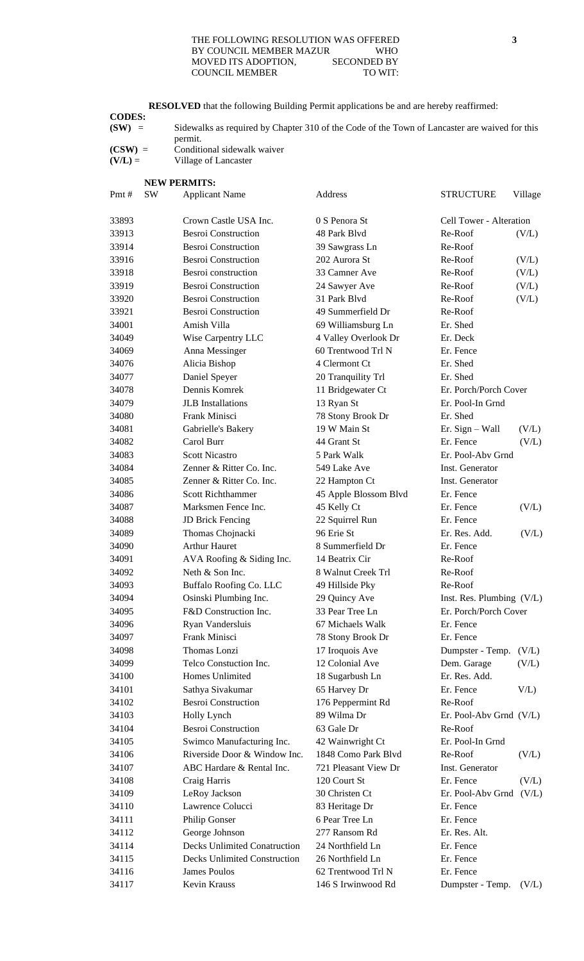#### THE FOLLOWING RESOLUTION WAS OFFERED **3** BY COUNCIL MEMBER MAZUR WHO MOVED ITS ADOPTION, SECONDED BY COUNCIL MEMBER TO WIT:

**RESOLVED** that the following Building Permit applications be and are hereby reaffirmed: **CODES: (SW)** = Sidewalks as required by Chapter 310 of the Code of the Town of Lancaster are waived for this permit. **(CSW)** = Conditional sidewalk waiver **(V/L)** = Village of Lancaster **NEW PERMITS:** Pmt # SW Applicant Name Address STRUCTURE Village Crown Castle USA Inc. 0 S Penora St Cell Tower - Alteration Besroi Construction 48 Park Blvd Re-Roof (V/L) Besroi Construction 39 Sawgrass Ln Re-Roof 33916 Besroi Construction 202 Aurora St Re-Roof (V/L) 33918 Besroi construction 33 Camner Ave Re-Roof (V/L) 33919 Besroi Construction 24 Sawyer Ave Re-Roof (V/L) Besroi Construction 31 Park Blvd Re-Roof (V/L) Besroi Construction 49 Summerfield Dr Re-Roof Amish Villa 69 Williamsburg Ln Er. Shed Wise Carpentry LLC 4 Valley Overlook Dr Er. Deck 34069 Anna Messinger 60 Trentwood Trl N Er. Fence Alicia Bishop 4 Clermont Ct Er. Shed Daniel Speyer 20 Tranquility Trl Er. Shed Dennis Komrek 11 Bridgewater Ct Er. Porch/Porch Cover JLB Installations 13 Ryan St Er. Pool-In Grnd Frank Minisci 78 Stony Brook Dr Er. Shed Gabrielle's Bakery 19 W Main St Er. Sign – Wall (V/L) Carol Burr 44 Grant St Er. Fence (V/L) Scott Nicastro 5 Park Walk Er. Pool-Abv Grnd Zenner & Ritter Co. Inc. 549 Lake Ave Inst. Generator Zenner & Ritter Co. Inc. 22 Hampton Ct Inst. Generator Scott Richthammer 45 Apple Blossom Blvd Er. Fence Marksmen Fence Inc. 45 Kelly Ct Er. Fence (V/L) JD Brick Fencing 22 Squirrel Run Er. Fence Thomas Chojnacki 96 Erie St Er. Res. Add. (V/L) Arthur Hauret 8 Summerfield Dr Er. Fence 34091 AVA Roofing & Siding Inc. 14 Beatrix Cir Re-Roof Neth & Son Inc. 8 Walnut Creek Trl Re-Roof Buffalo Roofing Co. LLC 49 Hillside Pky Re-Roof Osinski Plumbing Inc. 29 Quincy Ave Inst. Res. Plumbing (V/L) F&D Construction Inc. 33 Pear Tree Ln Er. Porch/Porch Cover Ryan Vandersluis 67 Michaels Walk Er. Fence Frank Minisci 78 Stony Brook Dr Er. Fence Thomas Lonzi 17 Iroquois Ave Dumpster - Temp. (V/L) Telco Constuction Inc. 12 Colonial Ave Dem. Garage (V/L) Homes Unlimited 18 Sugarbush Ln Er. Res. Add. Sathya Sivakumar 65 Harvey Dr Er. Fence V/L) Besroi Construction 176 Peppermint Rd Re-Roof Holly Lynch 89 Wilma Dr Er. Pool-Abv Grnd (V/L) Besroi Construction 63 Gale Dr Re-Roof Swimco Manufacturing Inc. 42 Wainwright Ct Er. Pool-In Grnd Riverside Door & Window Inc. 1848 Como Park Blvd Re-Roof (V/L) ABC Hardare & Rental Inc. 721 Pleasant View Dr Inst. Generator Craig Harris 120 Court St Er. Fence (V/L) LeRoy Jackson 30 Christen Ct Er. Pool-Abv Grnd (V/L) Lawrence Colucci 83 Heritage Dr Er. Fence 34111 Philip Gonser 6 Pear Tree Ln Er. Fence George Johnson 277 Ransom Rd Er. Res. Alt. Decks Unlimited Conatruction 24 Northfield Ln Er. Fence Decks Unlimited Construction 26 Northfield Ln Er. Fence James Poulos 62 Trentwood Trl N Er. Fence Kevin Krauss 146 S Irwinwood Rd Dumpster - Temp. (V/L)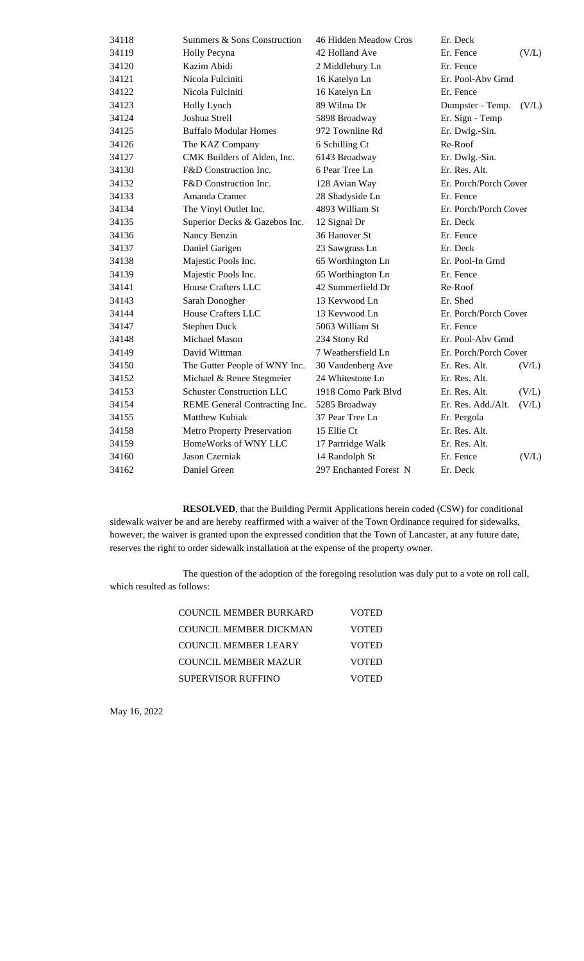| 34118 | Summers & Sons Construction      | 46 Hidden Meadow Cros  | Er. Deck              |       |
|-------|----------------------------------|------------------------|-----------------------|-------|
| 34119 | Holly Pecyna                     | 42 Holland Ave         | Er. Fence             | (V/L) |
| 34120 | Kazim Abidi                      | 2 Middlebury Ln        | Er. Fence             |       |
| 34121 | Nicola Fulciniti                 | 16 Katelyn Ln          | Er. Pool-Aby Grnd     |       |
| 34122 | Nicola Fulciniti                 | 16 Katelyn Ln          | Er. Fence             |       |
| 34123 | Holly Lynch                      | 89 Wilma Dr            | Dumpster - Temp.      | (V/L) |
| 34124 | Joshua Strell                    | 5898 Broadway          | Er. Sign - Temp       |       |
| 34125 | <b>Buffalo Modular Homes</b>     | 972 Townline Rd        | Er. Dwlg.-Sin.        |       |
| 34126 | The KAZ Company                  | 6 Schilling Ct         | Re-Roof               |       |
| 34127 | CMK Builders of Alden, Inc.      | 6143 Broadway          | Er. Dwlg.-Sin.        |       |
| 34130 | F&D Construction Inc.            | 6 Pear Tree Ln         | Er. Res. Alt.         |       |
| 34132 | F&D Construction Inc.            | 128 Avian Way          | Er. Porch/Porch Cover |       |
| 34133 | Amanda Cramer                    | 28 Shadyside Ln        | Er. Fence             |       |
| 34134 | The Vinyl Outlet Inc.            | 4893 William St        | Er. Porch/Porch Cover |       |
| 34135 | Superior Decks & Gazebos Inc.    | 12 Signal Dr           | Er. Deck              |       |
| 34136 | Nancy Benzin                     | 36 Hanover St          | Er. Fence             |       |
| 34137 | Daniel Garigen                   | 23 Sawgrass Ln         | Er. Deck              |       |
| 34138 | Majestic Pools Inc.              | 65 Worthington Ln      | Er. Pool-In Grnd      |       |
| 34139 | Majestic Pools Inc.              | 65 Worthington Ln      | Er. Fence             |       |
| 34141 | <b>House Crafters LLC</b>        | 42 Summerfield Dr      | Re-Roof               |       |
| 34143 | Sarah Donogher                   | 13 Keywood Ln          | Er. Shed              |       |
| 34144 | <b>House Crafters LLC</b>        | 13 Keywood Ln          | Er. Porch/Porch Cover |       |
| 34147 | Stephen Duck                     | 5063 William St        | Er. Fence             |       |
| 34148 | Michael Mason                    | 234 Stony Rd           | Er. Pool-Aby Grnd     |       |
| 34149 | David Wittman                    | 7 Weathersfield Ln     | Er. Porch/Porch Cover |       |
| 34150 | The Gutter People of WNY Inc.    | 30 Vandenberg Ave      | Er. Res. Alt.         | (V/L) |
| 34152 | Michael & Renee Stegmeier        | 24 Whitestone Ln       | Er. Res. Alt.         |       |
| 34153 | <b>Schuster Construction LLC</b> | 1918 Como Park Blvd    | Er. Res. Alt.         | (V/L) |
| 34154 | REME General Contracting Inc.    | 5285 Broadway          | Er. Res. Add./Alt.    | (V/L) |
| 34155 | Matthew Kubiak                   | 37 Pear Tree Ln        | Er. Pergola           |       |
| 34158 | Metro Property Preservation      | 15 Ellie Ct            | Er. Res. Alt.         |       |
| 34159 | HomeWorks of WNY LLC             | 17 Partridge Walk      | Er. Res. Alt.         |       |
| 34160 | Jason Czerniak                   | 14 Randolph St         | Er. Fence             | (V/L) |
| 34162 | Daniel Green                     | 297 Enchanted Forest N | Er. Deck              |       |
|       |                                  |                        |                       |       |

**RESOLVED**, that the Building Permit Applications herein coded (CSW) for conditional sidewalk waiver be and are hereby reaffirmed with a waiver of the Town Ordinance required for sidewalks, however, the waiver is granted upon the expressed condition that the Town of Lancaster, at any future date, reserves the right to order sidewalk installation at the expense of the property owner.

The question of the adoption of the foregoing resolution was duly put to a vote on roll call, which resulted as follows:

| COUNCIL MEMBER BURKARD | VOTED        |
|------------------------|--------------|
| COUNCIL MEMBER DICKMAN | VOTED        |
| COUNCIL MEMBER LEARY   | VOTED        |
| COUNCIL MEMBER MAZUR   | <b>VOTED</b> |
| SUPERVISOR RUFFINO     | <b>VOTED</b> |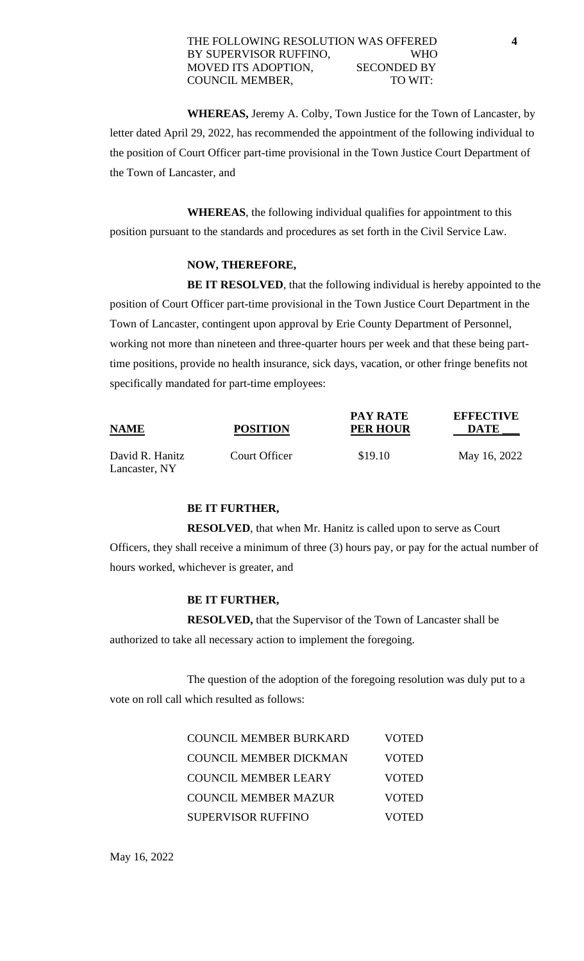**WHEREAS,** Jeremy A. Colby, Town Justice for the Town of Lancaster, by letter dated April 29, 2022, has recommended the appointment of the following individual to the position of Court Officer part-time provisional in the Town Justice Court Department of the Town of Lancaster, and

**WHEREAS**, the following individual qualifies for appointment to this position pursuant to the standards and procedures as set forth in the Civil Service Law.

### **NOW, THEREFORE,**

**BE IT RESOLVED**, that the following individual is hereby appointed to the position of Court Officer part-time provisional in the Town Justice Court Department in the Town of Lancaster, contingent upon approval by Erie County Department of Personnel, working not more than nineteen and three-quarter hours per week and that these being parttime positions, provide no health insurance, sick days, vacation, or other fringe benefits not specifically mandated for part-time employees:

| <b>NAME</b>                      | <b>POSITION</b> | <b>PAY RATE</b><br><b>PER HOUR</b> | <b>EFFECTIVE</b><br><b>DATE</b> |
|----------------------------------|-----------------|------------------------------------|---------------------------------|
| David R. Hanitz<br>Lancaster, NY | Court Officer   | \$19.10                            | May 16, 2022                    |

#### **BE IT FURTHER,**

**RESOLVED**, that when Mr. Hanitz is called upon to serve as Court Officers, they shall receive a minimum of three (3) hours pay, or pay for the actual number of hours worked, whichever is greater, and

# **BE IT FURTHER,**

**RESOLVED,** that the Supervisor of the Town of Lancaster shall be authorized to take all necessary action to implement the foregoing.

The question of the adoption of the foregoing resolution was duly put to a vote on roll call which resulted as follows:

| <b>COUNCIL MEMBER BURKARD</b> | <b>VOTED</b> |
|-------------------------------|--------------|
| <b>COUNCIL MEMBER DICKMAN</b> | <b>VOTED</b> |
| <b>COUNCIL MEMBER LEARY</b>   | <b>VOTED</b> |
| <b>COUNCIL MEMBER MAZUR</b>   | <b>VOTED</b> |
| <b>SUPERVISOR RUFFINO</b>     | <b>VOTED</b> |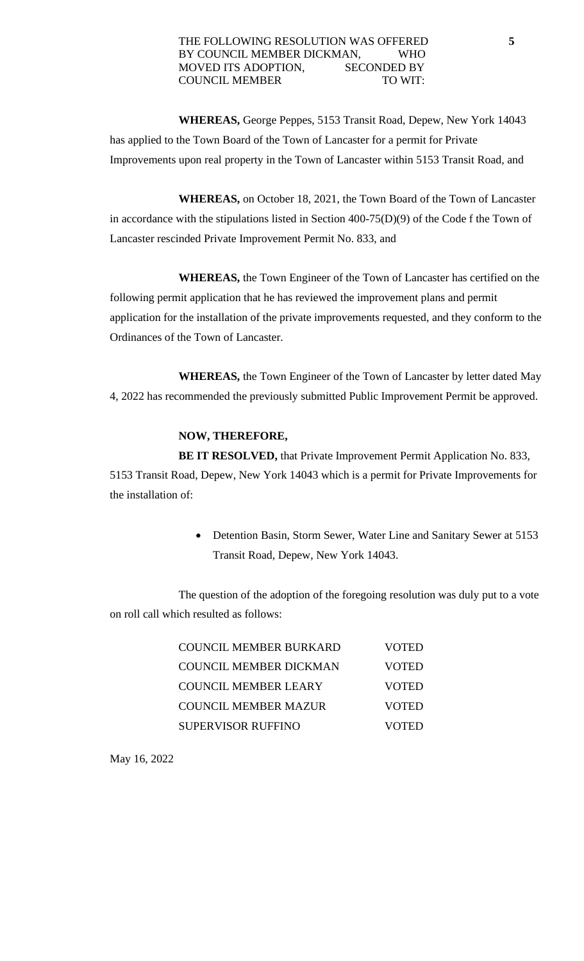**WHEREAS,** George Peppes, 5153 Transit Road, Depew, New York 14043 has applied to the Town Board of the Town of Lancaster for a permit for Private Improvements upon real property in the Town of Lancaster within 5153 Transit Road, and

**WHEREAS,** on October 18, 2021, the Town Board of the Town of Lancaster in accordance with the stipulations listed in Section 400-75(D)(9) of the Code f the Town of Lancaster rescinded Private Improvement Permit No. 833, and

**WHEREAS,** the Town Engineer of the Town of Lancaster has certified on the following permit application that he has reviewed the improvement plans and permit application for the installation of the private improvements requested, and they conform to the Ordinances of the Town of Lancaster.

**WHEREAS,** the Town Engineer of the Town of Lancaster by letter dated May 4, 2022 has recommended the previously submitted Public Improvement Permit be approved.

# **NOW, THEREFORE,**

**BE IT RESOLVED,** that Private Improvement Permit Application No. 833, 5153 Transit Road, Depew, New York 14043 which is a permit for Private Improvements for the installation of:

> • Detention Basin, Storm Sewer, Water Line and Sanitary Sewer at 5153 Transit Road, Depew, New York 14043.

The question of the adoption of the foregoing resolution was duly put to a vote on roll call which resulted as follows:

| COUNCIL MEMBER BURKARD        | <b>VOTED</b> |
|-------------------------------|--------------|
| <b>COUNCIL MEMBER DICKMAN</b> | <b>VOTED</b> |
| COUNCIL MEMBER LEARY          | <b>VOTED</b> |
| COUNCIL MEMBER MAZUR          | <b>VOTED</b> |
| <b>SUPERVISOR RUFFINO</b>     | VOTED        |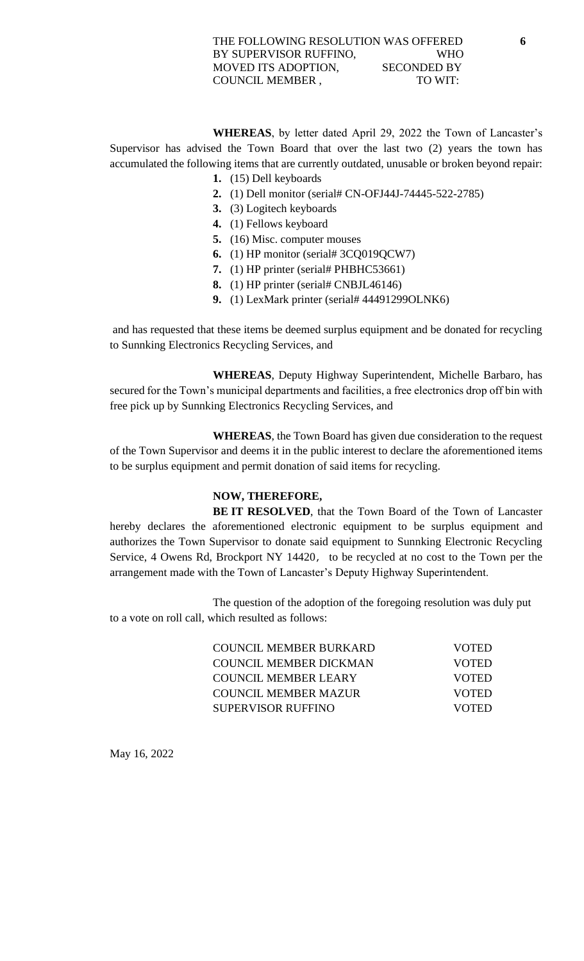**WHEREAS**, by letter dated April 29, 2022 the Town of Lancaster's Supervisor has advised the Town Board that over the last two (2) years the town has accumulated the following items that are currently outdated, unusable or broken beyond repair:

- **1.** (15) Dell keyboards
- **2.** (1) Dell monitor (serial# CN-OFJ44J-74445-522-2785)
- **3.** (3) Logitech keyboards
- **4.** (1) Fellows keyboard
- **5.** (16) Misc. computer mouses
- **6.** (1) HP monitor (serial# 3CQ019QCW7)
- **7.** (1) HP printer (serial# PHBHC53661)
- **8.** (1) HP printer (serial# CNBJL46146)
- **9.** (1) LexMark printer (serial# 44491299OLNK6)

and has requested that these items be deemed surplus equipment and be donated for recycling to Sunnking Electronics Recycling Services, and

**WHEREAS**, Deputy Highway Superintendent, Michelle Barbaro, has secured for the Town's municipal departments and facilities, a free electronics drop off bin with free pick up by Sunnking Electronics Recycling Services, and

**WHEREAS**, the Town Board has given due consideration to the request of the Town Supervisor and deems it in the public interest to declare the aforementioned items to be surplus equipment and permit donation of said items for recycling.

# **NOW, THEREFORE,**

**BE IT RESOLVED**, that the Town Board of the Town of Lancaster hereby declares the aforementioned electronic equipment to be surplus equipment and authorizes the Town Supervisor to donate said equipment to Sunnking Electronic Recycling Service, 4 Owens Rd, Brockport NY 14420, to be recycled at no cost to the Town per the arrangement made with the Town of Lancaster's Deputy Highway Superintendent.

The question of the adoption of the foregoing resolution was duly put to a vote on roll call, which resulted as follows:

| COUNCIL MEMBER BURKARD | <b>VOTED</b> |
|------------------------|--------------|
| COUNCIL MEMBER DICKMAN | <b>VOTED</b> |
| COUNCIL MEMBER LEARY   | <b>VOTED</b> |
| COUNCIL MEMBER MAZUR   | <b>VOTED</b> |
| SUPERVISOR RUFFINO     | <b>VOTED</b> |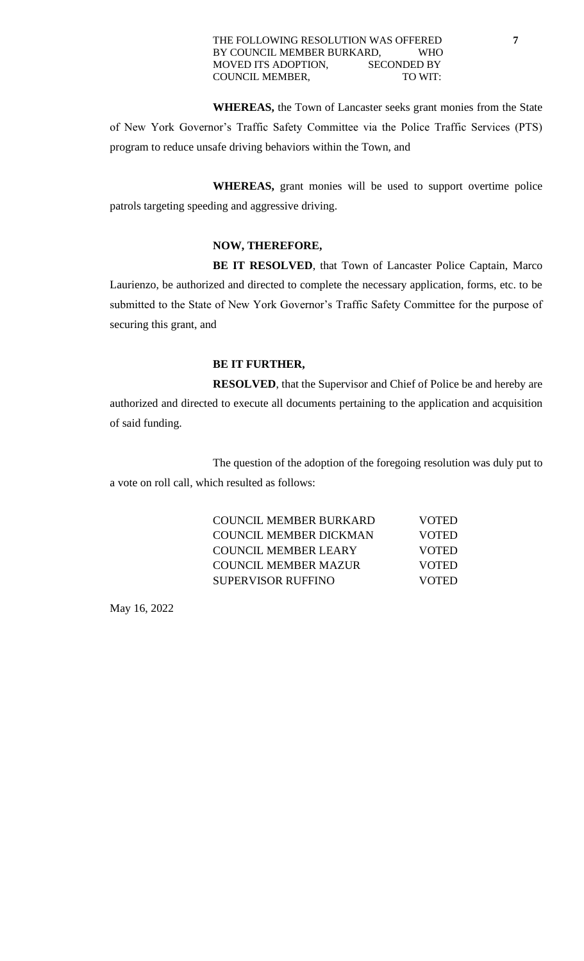#### THE FOLLOWING RESOLUTION WAS OFFERED **7** BY COUNCIL MEMBER BURKARD, WHO MOVED ITS ADOPTION, SECONDED BY COUNCIL MEMBER, TO WIT:

**WHEREAS,** the Town of Lancaster seeks grant monies from the State of New York Governor's Traffic Safety Committee via the Police Traffic Services (PTS) program to reduce unsafe driving behaviors within the Town, and

**WHEREAS,** grant monies will be used to support overtime police patrols targeting speeding and aggressive driving.

### **NOW, THEREFORE,**

BE IT RESOLVED, that Town of Lancaster Police Captain, Marco Laurienzo, be authorized and directed to complete the necessary application, forms, etc. to be submitted to the State of New York Governor's Traffic Safety Committee for the purpose of securing this grant, and

#### **BE IT FURTHER,**

**RESOLVED**, that the Supervisor and Chief of Police be and hereby are authorized and directed to execute all documents pertaining to the application and acquisition of said funding.

The question of the adoption of the foregoing resolution was duly put to a vote on roll call, which resulted as follows:

| COUNCIL MEMBER BURKARD        | <b>VOTED</b> |
|-------------------------------|--------------|
| <b>COUNCIL MEMBER DICKMAN</b> | <b>VOTED</b> |
| COUNCIL MEMBER LEARY          | <b>VOTED</b> |
| COUNCIL MEMBER MAZUR          | <b>VOTED</b> |
| <b>SUPERVISOR RUFFINO</b>     | <b>VOTED</b> |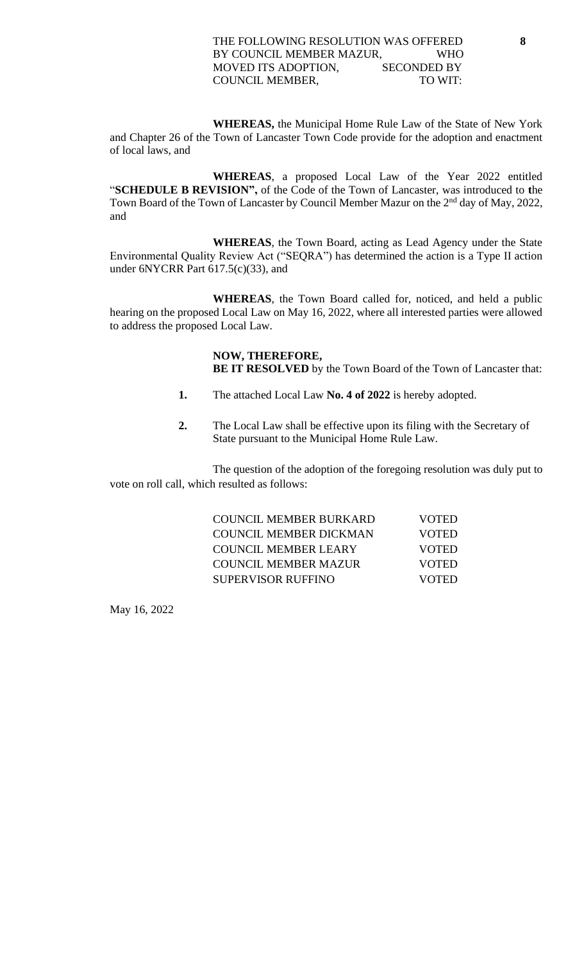#### THE FOLLOWING RESOLUTION WAS OFFERED **8** BY COUNCIL MEMBER MAZUR, WHO MOVED ITS ADOPTION, SECONDED BY COUNCIL MEMBER, TO WIT:

**WHEREAS,** the Municipal Home Rule Law of the State of New York and Chapter 26 of the Town of Lancaster Town Code provide for the adoption and enactment of local laws, and

**WHEREAS**, a proposed Local Law of the Year 2022 entitled "**SCHEDULE B REVISION",** of the Code of the Town of Lancaster, was introduced to **t**he Town Board of the Town of Lancaster by Council Member Mazur on the 2<sup>nd</sup> day of May, 2022, and

**WHEREAS**, the Town Board, acting as Lead Agency under the State Environmental Quality Review Act ("SEQRA") has determined the action is a Type II action under 6NYCRR Part 617.5(c)(33), and

**WHEREAS**, the Town Board called for, noticed, and held a public hearing on the proposed Local Law on May 16, 2022, where all interested parties were allowed to address the proposed Local Law.

# **NOW, THEREFORE,**

**BE IT RESOLVED** by the Town Board of the Town of Lancaster that:

- **1.** The attached Local Law **No. 4 of 2022** is hereby adopted.
- **2.** The Local Law shall be effective upon its filing with the Secretary of State pursuant to the Municipal Home Rule Law.

The question of the adoption of the foregoing resolution was duly put to vote on roll call, which resulted as follows:

| COUNCIL MEMBER BURKARD        | <b>VOTED</b> |
|-------------------------------|--------------|
| <b>COUNCIL MEMBER DICKMAN</b> | <b>VOTED</b> |
| COUNCIL MEMBER LEARY          | <b>VOTED</b> |
| COUNCIL MEMBER MAZUR          | <b>VOTED</b> |
| <b>SUPERVISOR RUFFINO</b>     | <b>VOTED</b> |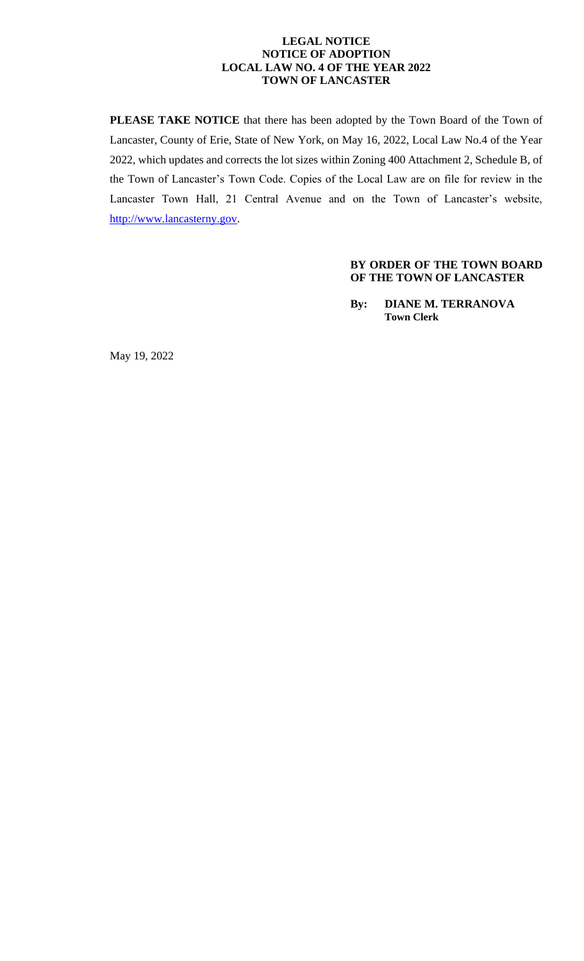#### **LEGAL NOTICE NOTICE OF ADOPTION LOCAL LAW NO. 4 OF THE YEAR 2022 TOWN OF LANCASTER**

**PLEASE TAKE NOTICE** that there has been adopted by the Town Board of the Town of Lancaster, County of Erie, State of New York, on May 16, 2022, Local Law No.4 of the Year 2022, which updates and corrects the lot sizes within Zoning 400 Attachment 2, Schedule B, of the Town of Lancaster's Town Code. Copies of the Local Law are on file for review in the Lancaster Town Hall, 21 Central Avenue and on the Town of Lancaster's website, [http://www.lancasterny.gov.](http://www.lancasterny.gov/)

#### **BY ORDER OF THE TOWN BOARD OF THE TOWN OF LANCASTER**

**By: DIANE M. TERRANOVA Town Clerk**

May 19, 2022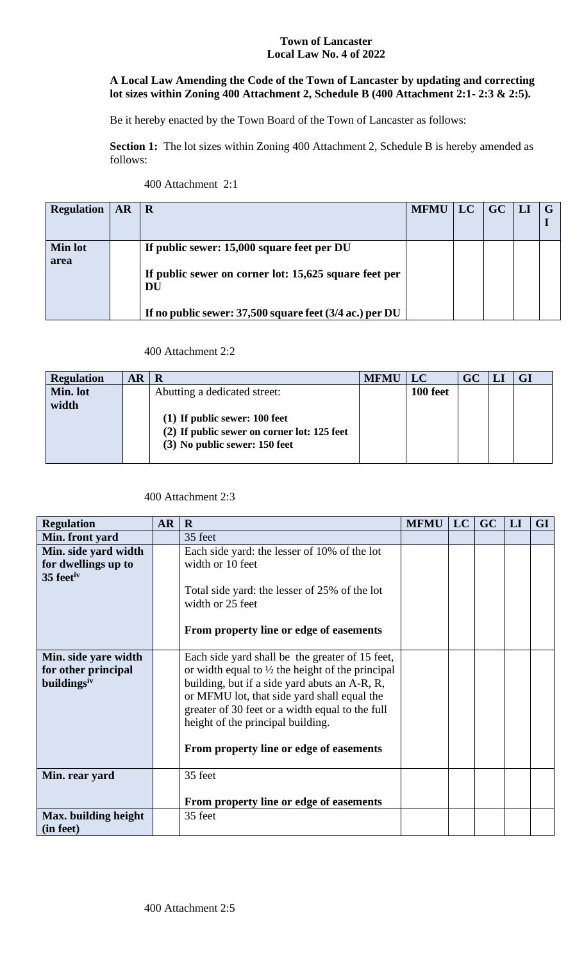#### **Town of Lancaster Local Law No. 4 of 2022**

# **A Local Law Amending the Code of the Town of Lancaster by updating and correcting lot sizes within Zoning 400 Attachment 2, Schedule B (400 Attachment 2:1- 2:3 & 2:5).**

Be it hereby enacted by the Town Board of the Town of Lancaster as follows:

Section 1: The lot sizes within Zoning 400 Attachment 2, Schedule B is hereby amended as follows:

| 400 Attachment 2:1 |  |
|--------------------|--|
|--------------------|--|

| <b>Regulation</b>      | <b>AR</b> | R                                                                                                                                                                         | <b>MFMU</b> | <b>LC</b> | <b>GC</b> | H |  |
|------------------------|-----------|---------------------------------------------------------------------------------------------------------------------------------------------------------------------------|-------------|-----------|-----------|---|--|
| <b>Min lot</b><br>area |           | If public sewer: 15,000 square feet per DU<br>If public sewer on corner lot: 15,625 square feet per<br>DU<br>If no public sewer: $37,500$ square feet ( $3/4$ ac.) per DU |             |           |           |   |  |

# 400 Attachment 2:2

| <b>Regulation</b> | $AR \,   \, R$ |                                             | <b>MFMU</b> | $\mathbf{L}$ LC | $GC$   LI | <b>GI</b> |
|-------------------|----------------|---------------------------------------------|-------------|-----------------|-----------|-----------|
| Min. lot          |                | Abutting a dedicated street:                |             | 100 feet        |           |           |
| width             |                |                                             |             |                 |           |           |
|                   |                | $(1)$ If public sewer: 100 feet             |             |                 |           |           |
|                   |                | (2) If public sewer on corner lot: 125 feet |             |                 |           |           |
|                   |                | (3) No public sewer: 150 feet               |             |                 |           |           |
|                   |                |                                             |             |                 |           |           |

# 400 Attachment 2:3

| <b>Regulation</b>       | <b>AR</b> | $\mathbf R$                                                 | <b>MFMU</b> | LC | GC | LI | <b>GI</b> |
|-------------------------|-----------|-------------------------------------------------------------|-------------|----|----|----|-----------|
| Min. front yard         |           | 35 feet                                                     |             |    |    |    |           |
| Min. side yard width    |           | Each side yard: the lesser of 10% of the lot                |             |    |    |    |           |
| for dwellings up to     |           | width or 10 feet                                            |             |    |    |    |           |
| 35 feetiv               |           |                                                             |             |    |    |    |           |
|                         |           | Total side yard: the lesser of 25% of the lot               |             |    |    |    |           |
|                         |           | width or 25 feet                                            |             |    |    |    |           |
|                         |           |                                                             |             |    |    |    |           |
|                         |           | From property line or edge of easements                     |             |    |    |    |           |
|                         |           |                                                             |             |    |    |    |           |
| Min. side yare width    |           | Each side yard shall be the greater of 15 feet,             |             |    |    |    |           |
| for other principal     |           | or width equal to $\frac{1}{2}$ the height of the principal |             |    |    |    |           |
| buildings <sup>iv</sup> |           | building, but if a side yard abuts an A-R, R,               |             |    |    |    |           |
|                         |           | or MFMU lot, that side yard shall equal the                 |             |    |    |    |           |
|                         |           | greater of 30 feet or a width equal to the full             |             |    |    |    |           |
|                         |           | height of the principal building.                           |             |    |    |    |           |
|                         |           |                                                             |             |    |    |    |           |
|                         |           | From property line or edge of easements                     |             |    |    |    |           |
|                         |           |                                                             |             |    |    |    |           |
| Min. rear yard          |           | 35 feet                                                     |             |    |    |    |           |
|                         |           |                                                             |             |    |    |    |           |
|                         |           | From property line or edge of easements                     |             |    |    |    |           |
| Max. building height    |           | 35 feet                                                     |             |    |    |    |           |
| (in feet)               |           |                                                             |             |    |    |    |           |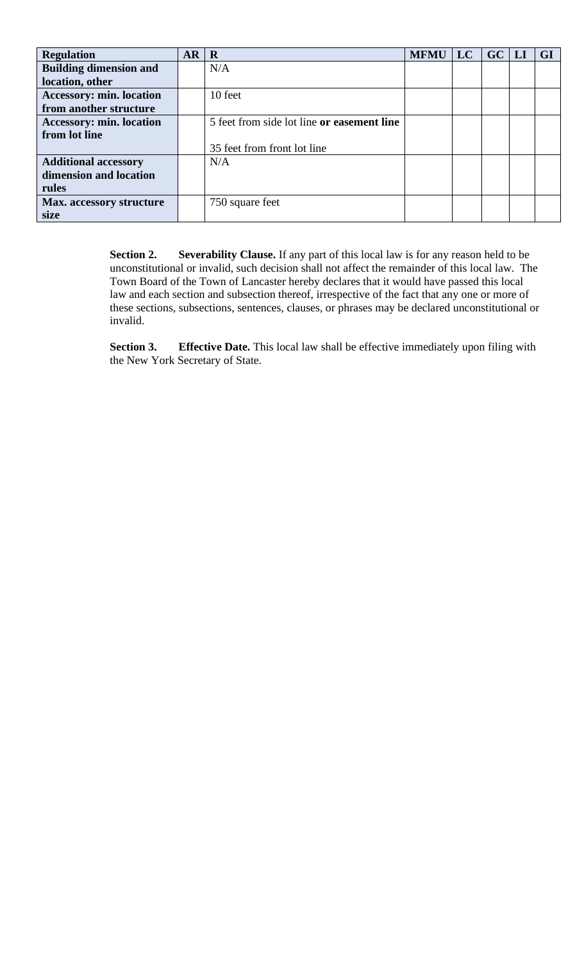| <b>Regulation</b>               | AR | $\mathbf R$                                | <b>MFMU</b> | LC | GC | M | <b>GI</b> |
|---------------------------------|----|--------------------------------------------|-------------|----|----|---|-----------|
| <b>Building dimension and</b>   |    | N/A                                        |             |    |    |   |           |
| location, other                 |    |                                            |             |    |    |   |           |
| <b>Accessory: min. location</b> |    | 10 feet                                    |             |    |    |   |           |
| from another structure          |    |                                            |             |    |    |   |           |
| <b>Accessory: min. location</b> |    | 5 feet from side lot line or easement line |             |    |    |   |           |
| from lot line                   |    |                                            |             |    |    |   |           |
|                                 |    | 35 feet from front lot line                |             |    |    |   |           |
| <b>Additional accessory</b>     |    | N/A                                        |             |    |    |   |           |
| dimension and location          |    |                                            |             |    |    |   |           |
| rules                           |    |                                            |             |    |    |   |           |
| Max. accessory structure        |    | 750 square feet                            |             |    |    |   |           |
| size                            |    |                                            |             |    |    |   |           |

Section 2. Severability Clause. If any part of this local law is for any reason held to be unconstitutional or invalid, such decision shall not affect the remainder of this local law. The Town Board of the Town of Lancaster hereby declares that it would have passed this local law and each section and subsection thereof, irrespective of the fact that any one or more of these sections, subsections, sentences, clauses, or phrases may be declared unconstitutional or invalid.

**Section 3.** Effective Date. This local law shall be effective immediately upon filing with the New York Secretary of State.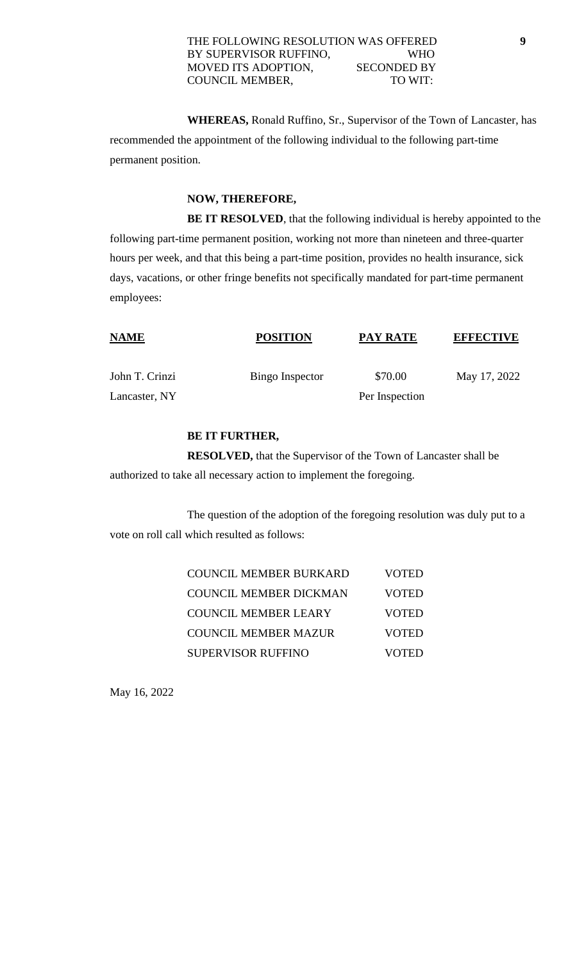**WHEREAS,** Ronald Ruffino, Sr., Supervisor of the Town of Lancaster, has recommended the appointment of the following individual to the following part-time permanent position.

#### **NOW, THEREFORE,**

**BE IT RESOLVED**, that the following individual is hereby appointed to the following part-time permanent position, working not more than nineteen and three-quarter hours per week, and that this being a part-time position, provides no health insurance, sick days, vacations, or other fringe benefits not specifically mandated for part-time permanent employees:

| <b>NAME</b>    | <b>POSITION</b> | <b>PAY RATE</b> | <b>EFFECTIVE</b> |
|----------------|-----------------|-----------------|------------------|
| John T. Crinzi | Bingo Inspector | \$70.00         | May 17, 2022     |
| Lancaster, NY  |                 | Per Inspection  |                  |

### **BE IT FURTHER,**

**RESOLVED,** that the Supervisor of the Town of Lancaster shall be authorized to take all necessary action to implement the foregoing.

The question of the adoption of the foregoing resolution was duly put to a vote on roll call which resulted as follows:

| COUNCIL MEMBER BURKARD        | <b>VOTED</b> |
|-------------------------------|--------------|
| <b>COUNCIL MEMBER DICKMAN</b> | <b>VOTED</b> |
| <b>COUNCIL MEMBER LEARY</b>   | <b>VOTED</b> |
| <b>COUNCIL MEMBER MAZUR</b>   | <b>VOTED</b> |
| <b>SUPERVISOR RUFFINO</b>     | <b>VOTED</b> |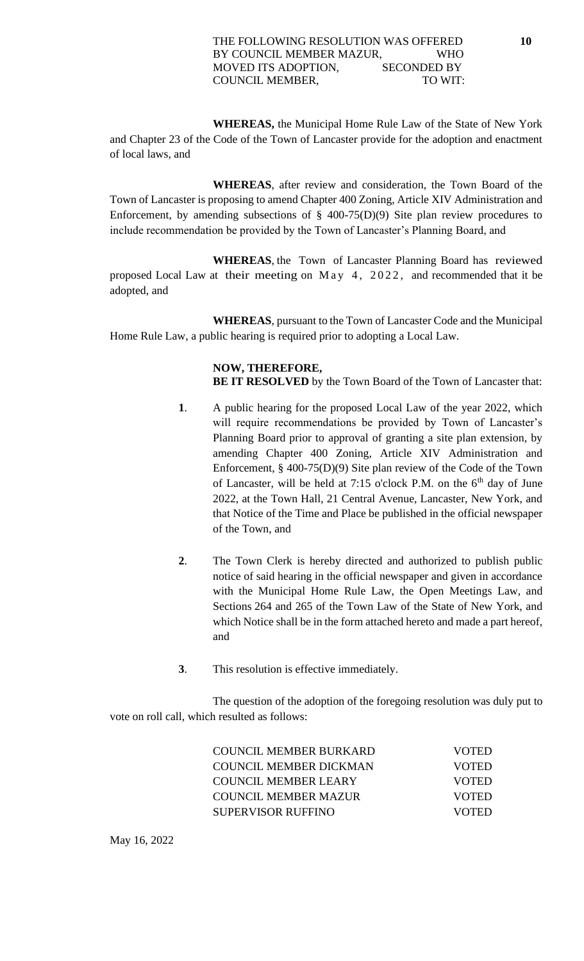#### THE FOLLOWING RESOLUTION WAS OFFERED **10** BY COUNCIL MEMBER MAZUR, WHO MOVED ITS ADOPTION, SECONDED BY COUNCIL MEMBER, TO WIT:

**WHEREAS,** the Municipal Home Rule Law of the State of New York and Chapter 23 of the Code of the Town of Lancaster provide for the adoption and enactment of local laws, and

**WHEREAS**, after review and consideration, the Town Board of the Town of Lancaster is proposing to amend Chapter 400 Zoning, Article XIV Administration and Enforcement, by amending subsections of  $\S$  400-75(D)(9) Site plan review procedures to include recommendation be provided by the Town of Lancaster's Planning Board, and

**WHEREAS**, the Town of Lancaster Planning Board has reviewed proposed Local Law at their meeting on May  $4$ , 2022, and recommended that it be adopted, and

**WHEREAS**, pursuant to the Town of Lancaster Code and the Municipal Home Rule Law, a public hearing is required prior to adopting a Local Law.

# **NOW, THEREFORE,**

**BE IT RESOLVED** by the Town Board of the Town of Lancaster that:

- **1**. A public hearing for the proposed Local Law of the year 2022, which will require recommendations be provided by Town of Lancaster's Planning Board prior to approval of granting a site plan extension, by amending Chapter 400 Zoning, Article XIV Administration and Enforcement, § 400-75(D)(9) Site plan review of the Code of the Town of Lancaster, will be held at 7:15 o'clock P.M. on the  $6<sup>th</sup>$  day of June 2022, at the Town Hall, 21 Central Avenue, Lancaster, New York, and that Notice of the Time and Place be published in the official newspaper of the Town, and
- **2**. The Town Clerk is hereby directed and authorized to publish public notice of said hearing in the official newspaper and given in accordance with the Municipal Home Rule Law, the Open Meetings Law, and Sections 264 and 265 of the Town Law of the State of New York, and which Notice shall be in the form attached hereto and made a part hereof, and
- **3**. This resolution is effective immediately.

The question of the adoption of the foregoing resolution was duly put to vote on roll call, which resulted as follows:

| COUNCIL MEMBER BURKARD      | <b>VOTED</b> |
|-----------------------------|--------------|
| COUNCIL MEMBER DICKMAN      | <b>VOTED</b> |
| COUNCIL MEMBER LEARY        | <b>VOTED</b> |
| <b>COUNCIL MEMBER MAZUR</b> | <b>VOTED</b> |
| SUPERVISOR RUFFINO          | <b>VOTED</b> |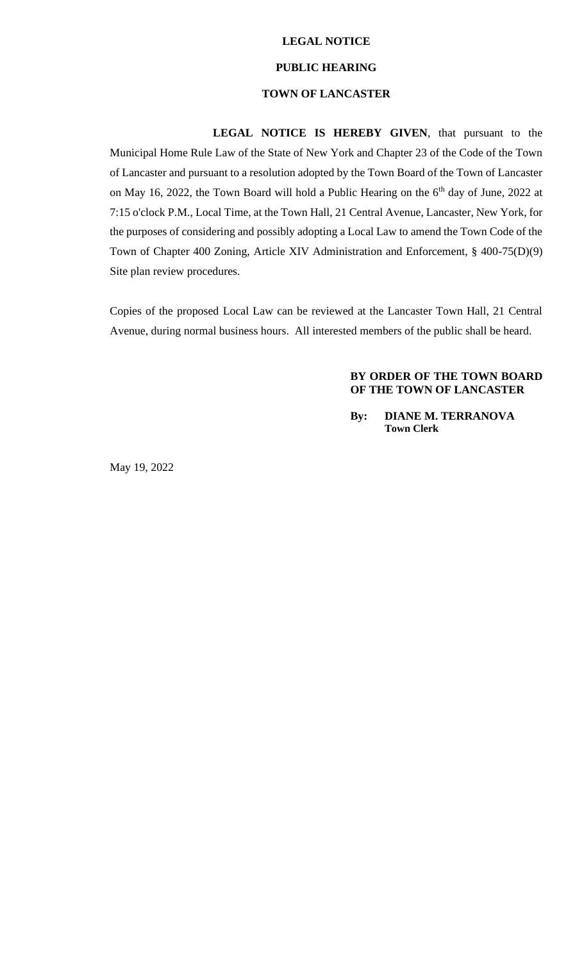#### **LEGAL NOTICE**

#### **PUBLIC HEARING**

#### **TOWN OF LANCASTER**

**LEGAL NOTICE IS HEREBY GIVEN**, that pursuant to the Municipal Home Rule Law of the State of New York and Chapter 23 of the Code of the Town of Lancaster and pursuant to a resolution adopted by the Town Board of the Town of Lancaster on May 16, 2022, the Town Board will hold a Public Hearing on the  $6<sup>th</sup>$  day of June, 2022 at 7:15 o'clock P.M., Local Time, at the Town Hall, 21 Central Avenue, Lancaster, New York, for the purposes of considering and possibly adopting a Local Law to amend the Town Code of the Town of Chapter 400 Zoning, Article XIV Administration and Enforcement, § 400-75(D)(9) Site plan review procedures.

Copies of the proposed Local Law can be reviewed at the Lancaster Town Hall, 21 Central Avenue, during normal business hours. All interested members of the public shall be heard.

#### **BY ORDER OF THE TOWN BOARD OF THE TOWN OF LANCASTER**

**By: DIANE M. TERRANOVA Town Clerk**

May 19, 2022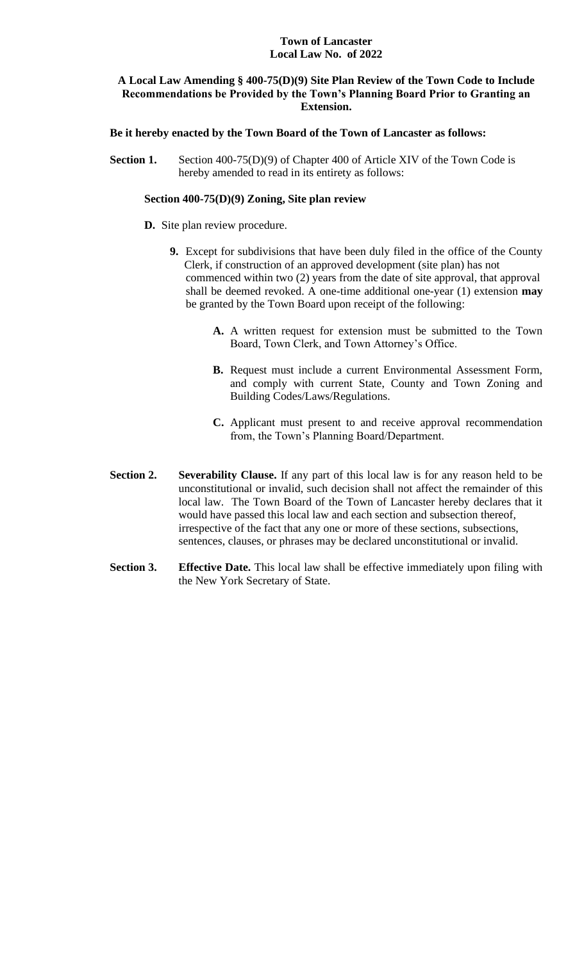#### **Town of Lancaster Local Law No. of 2022**

#### **A Local Law Amending § 400-75(D)(9) Site Plan Review of the Town Code to Include Recommendations be Provided by the Town's Planning Board Prior to Granting an Extension.**

#### **Be it hereby enacted by the Town Board of the Town of Lancaster as follows:**

**Section 1.** Section 400-75(D)(9) of Chapter 400 of Article XIV of the Town Code is hereby amended to read in its entirety as follows:

#### **Section 400-75(D)(9) Zoning, Site plan review**

#### **D.** Site plan review procedure.

- **9.** Except for subdivisions that have been duly filed in the office of the County Clerk, if construction of an approved development (site plan) has not commenced within two (2) years from the date of site approval, that approval shall be deemed revoked. A one-time additional one-year (1) extension **may** be granted by the Town Board upon receipt of the following:
	- **A.** A written request for extension must be submitted to the Town Board, Town Clerk, and Town Attorney's Office.
	- **B.** Request must include a current Environmental Assessment Form, and comply with current State, County and Town Zoning and Building Codes/Laws/Regulations.
	- **C.** Applicant must present to and receive approval recommendation from, the Town's Planning Board/Department.
- **Section 2. Severability Clause.** If any part of this local law is for any reason held to be unconstitutional or invalid, such decision shall not affect the remainder of this local law. The Town Board of the Town of Lancaster hereby declares that it would have passed this local law and each section and subsection thereof, irrespective of the fact that any one or more of these sections, subsections, sentences, clauses, or phrases may be declared unconstitutional or invalid.
- **Section 3. Effective Date.** This local law shall be effective immediately upon filing with the New York Secretary of State.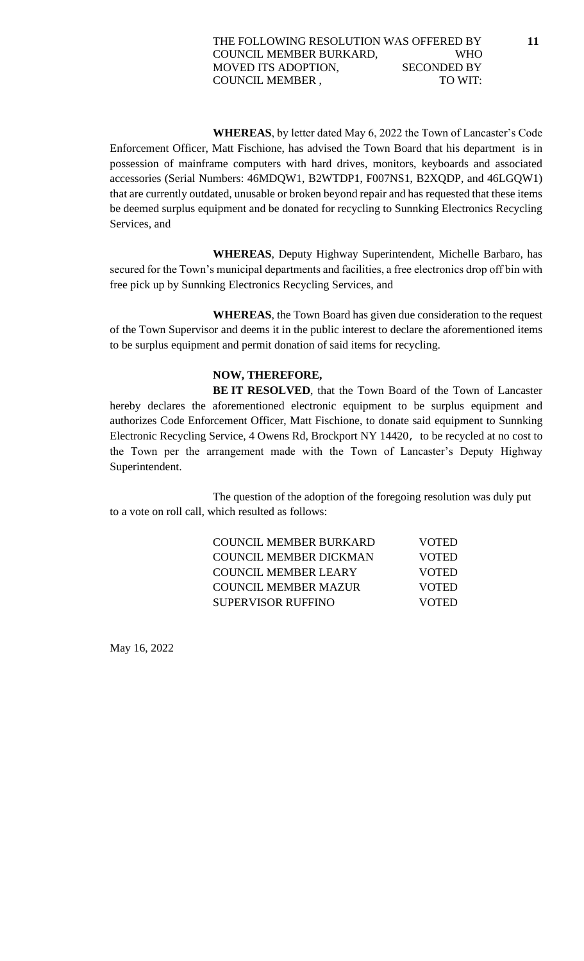**WHEREAS**, by letter dated May 6, 2022 the Town of Lancaster's Code Enforcement Officer, Matt Fischione, has advised the Town Board that his department is in possession of mainframe computers with hard drives, monitors, keyboards and associated accessories (Serial Numbers: 46MDQW1, B2WTDP1, F007NS1, B2XQDP, and 46LGQW1) that are currently outdated, unusable or broken beyond repair and has requested that these items be deemed surplus equipment and be donated for recycling to Sunnking Electronics Recycling Services, and

**WHEREAS**, Deputy Highway Superintendent, Michelle Barbaro, has secured for the Town's municipal departments and facilities, a free electronics drop off bin with free pick up by Sunnking Electronics Recycling Services, and

**WHEREAS**, the Town Board has given due consideration to the request of the Town Supervisor and deems it in the public interest to declare the aforementioned items to be surplus equipment and permit donation of said items for recycling.

### **NOW, THEREFORE,**

**BE IT RESOLVED**, that the Town Board of the Town of Lancaster hereby declares the aforementioned electronic equipment to be surplus equipment and authorizes Code Enforcement Officer, Matt Fischione, to donate said equipment to Sunnking Electronic Recycling Service, 4 Owens Rd, Brockport NY 14420, to be recycled at no cost to the Town per the arrangement made with the Town of Lancaster's Deputy Highway Superintendent.

The question of the adoption of the foregoing resolution was duly put to a vote on roll call, which resulted as follows:

| COUNCIL MEMBER BURKARD    | <b>VOTED</b> |
|---------------------------|--------------|
| COUNCIL MEMBER DICKMAN    | <b>VOTED</b> |
| COUNCIL MEMBER LEARY      | <b>VOTED</b> |
| COUNCIL MEMBER MAZUR      | <b>VOTED</b> |
| <b>SUPERVISOR RUFFINO</b> | <b>VOTED</b> |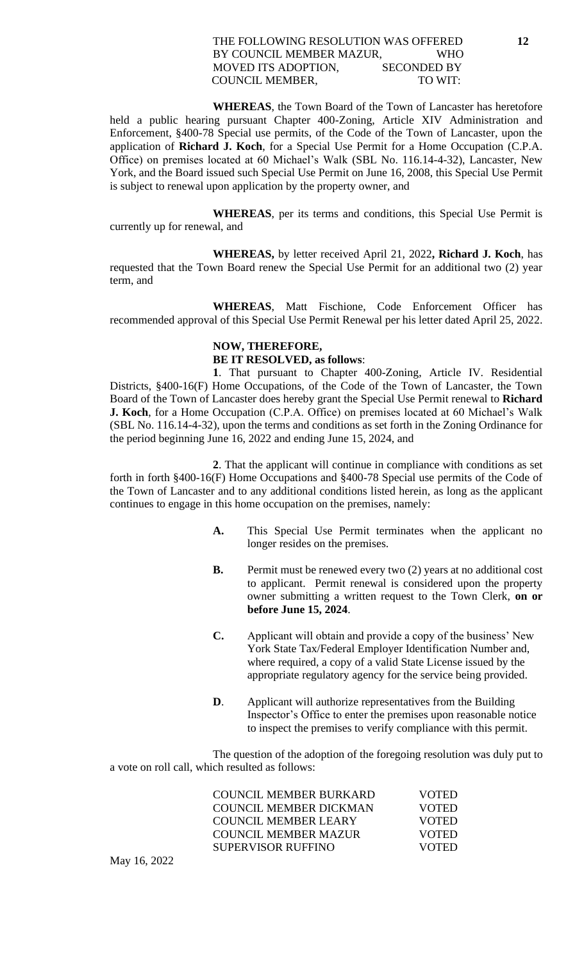#### THE FOLLOWING RESOLUTION WAS OFFERED **12** BY COUNCIL MEMBER MAZUR, WHO MOVED ITS ADOPTION, SECONDED BY COUNCIL MEMBER, TO WIT:

**WHEREAS**, the Town Board of the Town of Lancaster has heretofore held a public hearing pursuant Chapter 400-Zoning, Article XIV Administration and Enforcement, §400-78 Special use permits, of the Code of the Town of Lancaster, upon the application of **Richard J. Koch**, for a Special Use Permit for a Home Occupation (C.P.A. Office) on premises located at 60 Michael's Walk (SBL No. 116.14-4-32), Lancaster, New York, and the Board issued such Special Use Permit on June 16, 2008, this Special Use Permit is subject to renewal upon application by the property owner, and

**WHEREAS**, per its terms and conditions, this Special Use Permit is currently up for renewal, and

**WHEREAS,** by letter received April 21, 2022**, Richard J. Koch**, has requested that the Town Board renew the Special Use Permit for an additional two (2) year term, and

**WHEREAS**, Matt Fischione, Code Enforcement Officer has recommended approval of this Special Use Permit Renewal per his letter dated April 25, 2022.

### **NOW, THEREFORE, BE IT RESOLVED, as follows**:

**1**. That pursuant to Chapter 400-Zoning, Article IV. Residential Districts, §400-16(F) Home Occupations, of the Code of the Town of Lancaster, the Town Board of the Town of Lancaster does hereby grant the Special Use Permit renewal to **Richard J. Koch**, for a Home Occupation (C.P.A. Office) on premises located at 60 Michael's Walk (SBL No. 116.14-4-32), upon the terms and conditions as set forth in the Zoning Ordinance for the period beginning June 16, 2022 and ending June 15, 2024, and

**2**. That the applicant will continue in compliance with conditions as set forth in forth §400-16(F) Home Occupations and §400-78 Special use permits of the Code of the Town of Lancaster and to any additional conditions listed herein, as long as the applicant continues to engage in this home occupation on the premises, namely:

- **A.** This Special Use Permit terminates when the applicant no longer resides on the premises.
- **B.** Permit must be renewed every two (2) years at no additional cost to applicant. Permit renewal is considered upon the property owner submitting a written request to the Town Clerk, **on or before June 15, 2024**.
- **C.** Applicant will obtain and provide a copy of the business' New York State Tax/Federal Employer Identification Number and, where required, a copy of a valid State License issued by the appropriate regulatory agency for the service being provided.
- **D.** Applicant will authorize representatives from the Building Inspector's Office to enter the premises upon reasonable notice to inspect the premises to verify compliance with this permit.

The question of the adoption of the foregoing resolution was duly put to a vote on roll call, which resulted as follows:

| COUNCIL MEMBER BURKARD      | <b>VOTED</b> |
|-----------------------------|--------------|
| COUNCIL MEMBER DICKMAN      | <b>VOTED</b> |
| COUNCIL MEMBER LEARY        | <b>VOTED</b> |
| <b>COUNCIL MEMBER MAZUR</b> | <b>VOTED</b> |
| SUPERVISOR RUFFINO          | <b>VOTED</b> |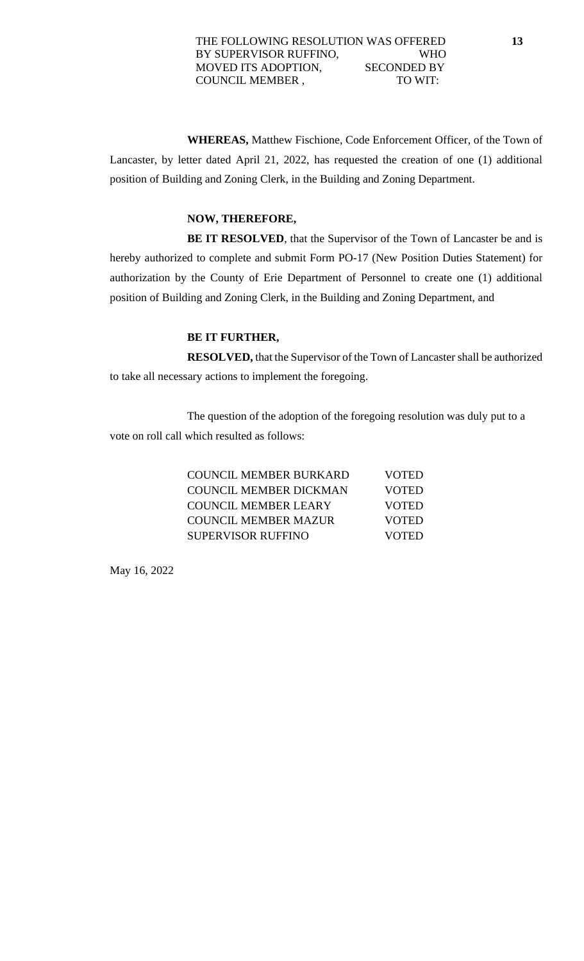**WHEREAS,** Matthew Fischione, Code Enforcement Officer, of the Town of Lancaster, by letter dated April 21, 2022, has requested the creation of one (1) additional position of Building and Zoning Clerk, in the Building and Zoning Department.

### **NOW, THEREFORE,**

**BE IT RESOLVED**, that the Supervisor of the Town of Lancaster be and is hereby authorized to complete and submit Form PO-17 (New Position Duties Statement) for authorization by the County of Erie Department of Personnel to create one (1) additional position of Building and Zoning Clerk, in the Building and Zoning Department, and

# **BE IT FURTHER,**

**RESOLVED,** that the Supervisor of the Town of Lancaster shall be authorized to take all necessary actions to implement the foregoing.

The question of the adoption of the foregoing resolution was duly put to a vote on roll call which resulted as follows:

| COUNCIL MEMBER BURKARD        | <b>VOTED</b> |
|-------------------------------|--------------|
| <b>COUNCIL MEMBER DICKMAN</b> | <b>VOTED</b> |
| <b>COUNCIL MEMBER LEARY</b>   | <b>VOTED</b> |
| <b>COUNCIL MEMBER MAZUR</b>   | <b>VOTED</b> |
| <b>SUPERVISOR RUFFINO</b>     | <b>VOTED</b> |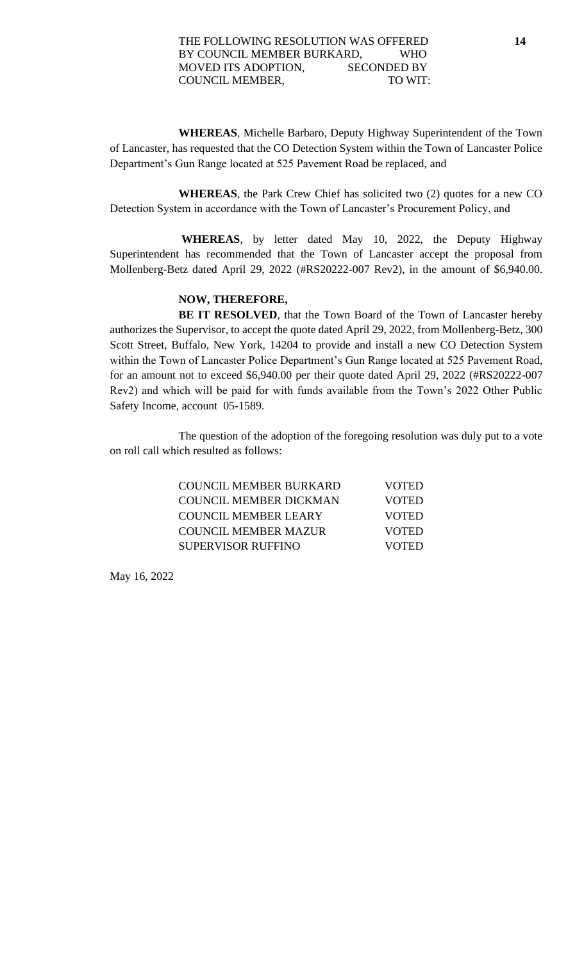**WHEREAS**, Michelle Barbaro, Deputy Highway Superintendent of the Town of Lancaster, has requested that the CO Detection System within the Town of Lancaster Police Department's Gun Range located at 525 Pavement Road be replaced, and

**WHEREAS**, the Park Crew Chief has solicited two (2) quotes for a new CO Detection System in accordance with the Town of Lancaster's Procurement Policy, and

**WHEREAS**, by letter dated May 10, 2022, the Deputy Highway Superintendent has recommended that the Town of Lancaster accept the proposal from Mollenberg-Betz dated April 29, 2022 (#RS20222-007 Rev2), in the amount of \$6,940.00.

### **NOW, THEREFORE,**

**BE IT RESOLVED**, that the Town Board of the Town of Lancaster hereby authorizes the Supervisor, to accept the quote dated April 29, 2022, from Mollenberg-Betz, 300 Scott Street, Buffalo, New York, 14204 to provide and install a new CO Detection System within the Town of Lancaster Police Department's Gun Range located at 525 Pavement Road, for an amount not to exceed \$6,940.00 per their quote dated April 29, 2022 (#RS20222-007 Rev2) and which will be paid for with funds available from the Town's 2022 Other Public Safety Income, account 05-1589.

The question of the adoption of the foregoing resolution was duly put to a vote on roll call which resulted as follows:

| COUNCIL MEMBER BURKARD    | <b>VOTED</b> |
|---------------------------|--------------|
| COUNCIL MEMBER DICKMAN    | <b>VOTED</b> |
| COUNCIL MEMBER LEARY      | <b>VOTED</b> |
| COUNCIL MEMBER MAZUR      | <b>VOTED</b> |
| <b>SUPERVISOR RUFFINO</b> | <b>VOTED</b> |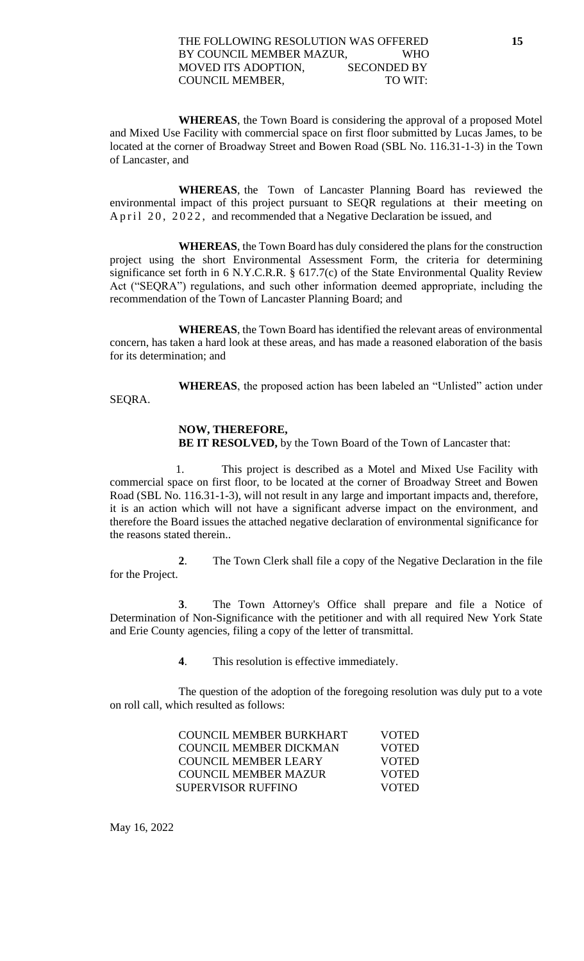**WHEREAS**, the Town Board is considering the approval of a proposed Motel and Mixed Use Facility with commercial space on first floor submitted by Lucas James, to be located at the corner of Broadway Street and Bowen Road (SBL No. 116.31-1-3) in the Town of Lancaster, and

**WHEREAS**, the Town of Lancaster Planning Board has reviewed the environmental impact of this project pursuant to SEQR regulations at their meeting on A p r i l 20, 2022, and recommended that a Negative Declaration be issued, and

**WHEREAS**, the Town Board has duly considered the plans for the construction project using the short Environmental Assessment Form, the criteria for determining significance set forth in 6 N.Y.C.R.R. § 617.7(c) of the State Environmental Quality Review Act ("SEQRA") regulations, and such other information deemed appropriate, including the recommendation of the Town of Lancaster Planning Board; and

**WHEREAS**, the Town Board has identified the relevant areas of environmental concern, has taken a hard look at these areas, and has made a reasoned elaboration of the basis for its determination; and

**WHEREAS**, the proposed action has been labeled an "Unlisted" action under SEQRA.

#### **NOW, THEREFORE,**

**BE IT RESOLVED,** by the Town Board of the Town of Lancaster that:

 1. This project is described as a Motel and Mixed Use Facility with commercial space on first floor, to be located at the corner of Broadway Street and Bowen Road (SBL No. 116.31-1-3), will not result in any large and important impacts and, therefore, it is an action which will not have a significant adverse impact on the environment, and therefore the Board issues the attached negative declaration of environmental significance for the reasons stated therein..

**2**. The Town Clerk shall file a copy of the Negative Declaration in the file for the Project.

**3**. The Town Attorney's Office shall prepare and file a Notice of Determination of Non-Significance with the petitioner and with all required New York State and Erie County agencies, filing a copy of the letter of transmittal.

**4**. This resolution is effective immediately.

The question of the adoption of the foregoing resolution was duly put to a vote on roll call, which resulted as follows:

| COUNCIL MEMBER BURKHART       | <b>VOTED</b> |
|-------------------------------|--------------|
| <b>COUNCIL MEMBER DICKMAN</b> | <b>VOTED</b> |
| COUNCIL MEMBER LEARY          | <b>VOTED</b> |
| COUNCIL MEMBER MAZUR          | <b>VOTED</b> |
| SUPERVISOR RUFFINO            | <b>VOTED</b> |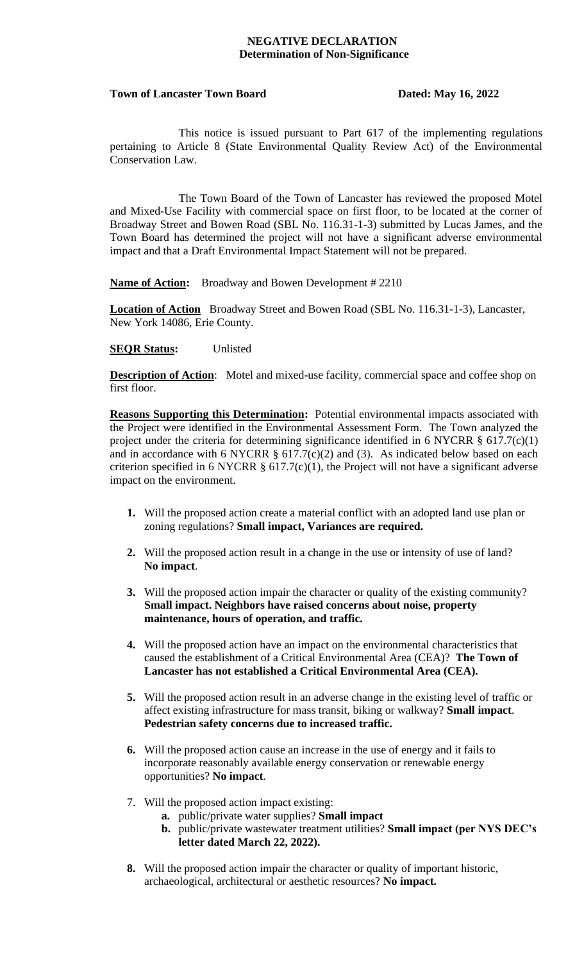#### **NEGATIVE DECLARATION Determination of Non-Significance**

#### Town of Lancaster Town Board Dated: May 16, 2022

This notice is issued pursuant to Part 617 of the implementing regulations pertaining to Article 8 (State Environmental Quality Review Act) of the Environmental Conservation Law.

The Town Board of the Town of Lancaster has reviewed the proposed Motel and Mixed-Use Facility with commercial space on first floor, to be located at the corner of Broadway Street and Bowen Road (SBL No. 116.31-1-3) submitted by Lucas James, and the Town Board has determined the project will not have a significant adverse environmental impact and that a Draft Environmental Impact Statement will not be prepared.

**Name of Action:** Broadway and Bowen Development # 2210

**Location of Action** Broadway Street and Bowen Road (SBL No. 116.31-1-3), Lancaster, New York 14086, Erie County.

#### **SEQR Status:** Unlisted

**Description of Action**: Motel and mixed-use facility, commercial space and coffee shop on first floor.

**Reasons Supporting this Determination:** Potential environmental impacts associated with the Project were identified in the Environmental Assessment Form. The Town analyzed the project under the criteria for determining significance identified in 6 NYCRR § 617.7(c)(1) and in accordance with 6 NYCRR  $\S$  617.7(c)(2) and (3). As indicated below based on each criterion specified in 6 NYCRR  $\S$  617.7(c)(1), the Project will not have a significant adverse impact on the environment.

- **1.** Will the proposed action create a material conflict with an adopted land use plan or zoning regulations? **Small impact, Variances are required.**
- **2.** Will the proposed action result in a change in the use or intensity of use of land? **No impact**.
- **3.** Will the proposed action impair the character or quality of the existing community? **Small impact. Neighbors have raised concerns about noise, property maintenance, hours of operation, and traffic.**
- **4.** Will the proposed action have an impact on the environmental characteristics that caused the establishment of a Critical Environmental Area (CEA)? **The Town of Lancaster has not established a Critical Environmental Area (CEA).**
- **5.** Will the proposed action result in an adverse change in the existing level of traffic or affect existing infrastructure for mass transit, biking or walkway? **Small impact**. **Pedestrian safety concerns due to increased traffic.**
- **6.** Will the proposed action cause an increase in the use of energy and it fails to incorporate reasonably available energy conservation or renewable energy opportunities? **No impact**.
- 7. Will the proposed action impact existing:
	- **a.** public/private water supplies? **Small impact**
	- **b.** public/private wastewater treatment utilities? **Small impact (per NYS DEC's letter dated March 22, 2022).**
- **8.** Will the proposed action impair the character or quality of important historic, archaeological, architectural or aesthetic resources? **No impact.**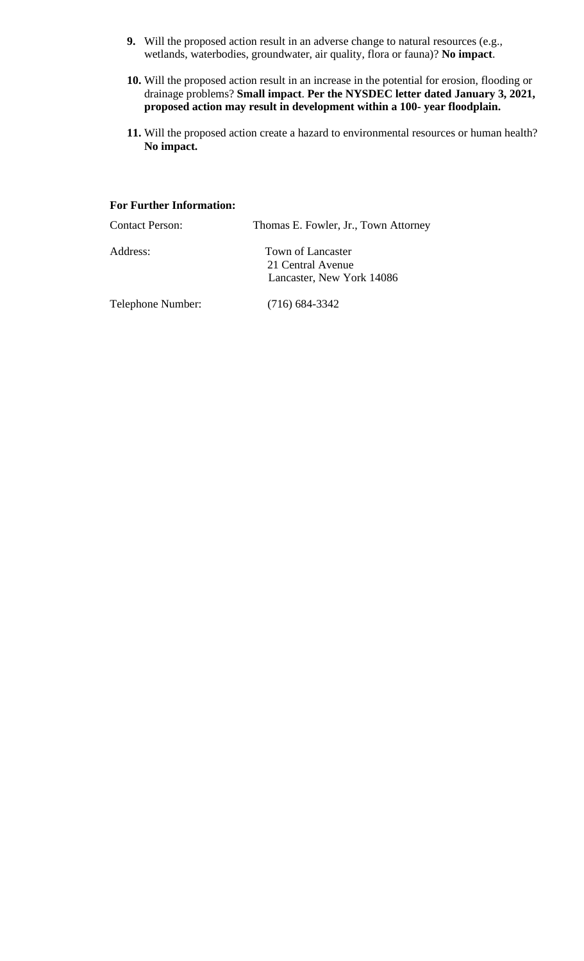- **9.** Will the proposed action result in an adverse change to natural resources (e.g., wetlands, waterbodies, groundwater, air quality, flora or fauna)? **No impact**.
- **10.** Will the proposed action result in an increase in the potential for erosion, flooding or drainage problems? **Small impact**. **Per the NYSDEC letter dated January 3, 2021, proposed action may result in development within a 100- year floodplain.**
- **11.** Will the proposed action create a hazard to environmental resources or human health? **No impact.**

#### **For Further Information:**

| <b>Contact Person:</b> | Thomas E. Fowler, Jr., Town Attorney                                |
|------------------------|---------------------------------------------------------------------|
| Address:               | Town of Lancaster<br>21 Central Avenue<br>Lancaster, New York 14086 |
| Telephone Number:      | $(716)$ 684-3342                                                    |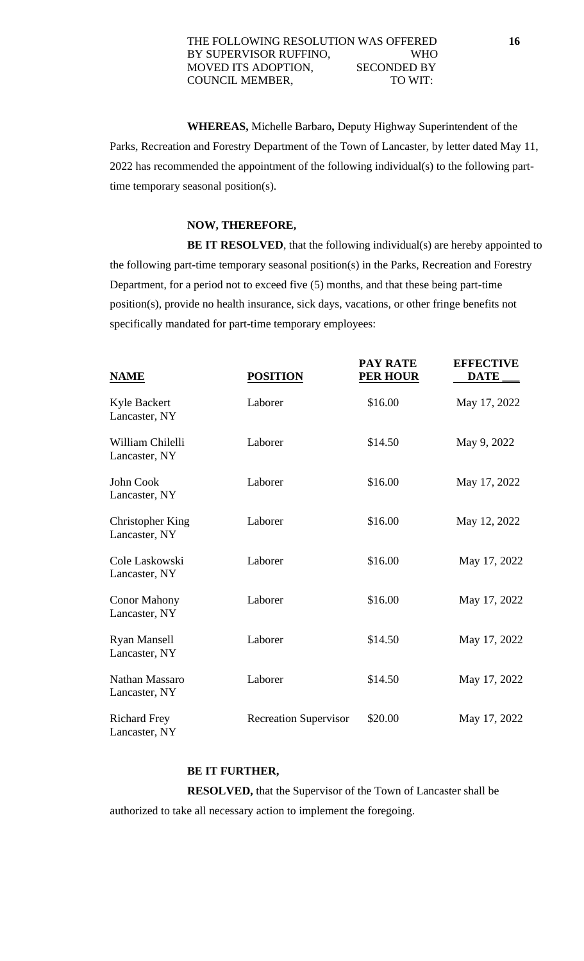#### THE FOLLOWING RESOLUTION WAS OFFERED **16** BY SUPERVISOR RUFFINO, WHO MOVED ITS ADOPTION, SECONDED BY COUNCIL MEMBER, TO WIT:

**WHEREAS,** Michelle Barbaro**,** Deputy Highway Superintendent of the Parks, Recreation and Forestry Department of the Town of Lancaster, by letter dated May 11, 2022 has recommended the appointment of the following individual(s) to the following parttime temporary seasonal position(s).

#### **NOW, THEREFORE,**

**BE IT RESOLVED**, that the following individual(s) are hereby appointed to the following part-time temporary seasonal position(s) in the Parks, Recreation and Forestry Department, for a period not to exceed five (5) months, and that these being part-time position(s), provide no health insurance, sick days, vacations, or other fringe benefits not specifically mandated for part-time temporary employees:

**PAY RATE EFFECTIVE**

| <b>NAME</b>                              | <b>POSITION</b>              | TAI NAIL<br><b>PER HOUR</b> | LIFLUIIVL<br><b>DATE</b> |
|------------------------------------------|------------------------------|-----------------------------|--------------------------|
| Kyle Backert<br>Lancaster, NY            | Laborer                      | \$16.00                     | May 17, 2022             |
| William Chilelli<br>Lancaster, NY        | Laborer                      | \$14.50                     | May 9, 2022              |
| John Cook<br>Lancaster, NY               | Laborer                      | \$16.00                     | May 17, 2022             |
| <b>Christopher King</b><br>Lancaster, NY | Laborer                      | \$16.00                     | May 12, 2022             |
| Cole Laskowski<br>Lancaster, NY          | Laborer                      | \$16.00                     | May 17, 2022             |
| <b>Conor Mahony</b><br>Lancaster, NY     | Laborer                      | \$16.00                     | May 17, 2022             |
| <b>Ryan Mansell</b><br>Lancaster, NY     | Laborer                      | \$14.50                     | May 17, 2022             |
| Nathan Massaro<br>Lancaster, NY          | Laborer                      | \$14.50                     | May 17, 2022             |
| <b>Richard Frey</b><br>Lancaster, NY     | <b>Recreation Supervisor</b> | \$20.00                     | May 17, 2022             |

#### **BE IT FURTHER,**

**RESOLVED,** that the Supervisor of the Town of Lancaster shall be authorized to take all necessary action to implement the foregoing.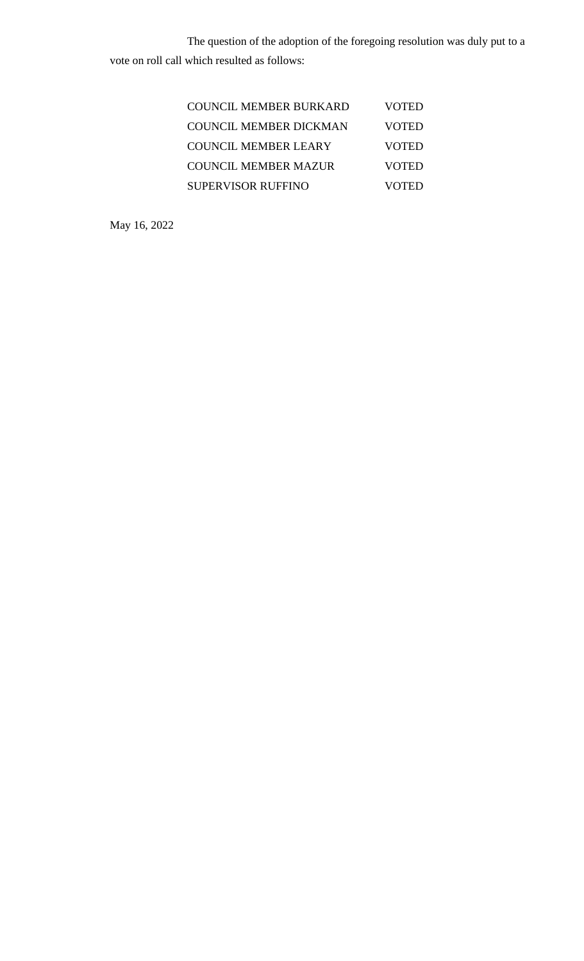The question of the adoption of the foregoing resolution was duly put to a vote on roll call which resulted as follows:

| COUNCIL MEMBER BURKARD        | <b>VOTED</b> |
|-------------------------------|--------------|
| <b>COUNCIL MEMBER DICKMAN</b> | <b>VOTED</b> |
| COUNCIL MEMBER LEARY          | <b>VOTED</b> |
| <b>COUNCIL MEMBER MAZUR</b>   | <b>VOTED</b> |
| <b>SUPERVISOR RUFFINO</b>     | VOTED        |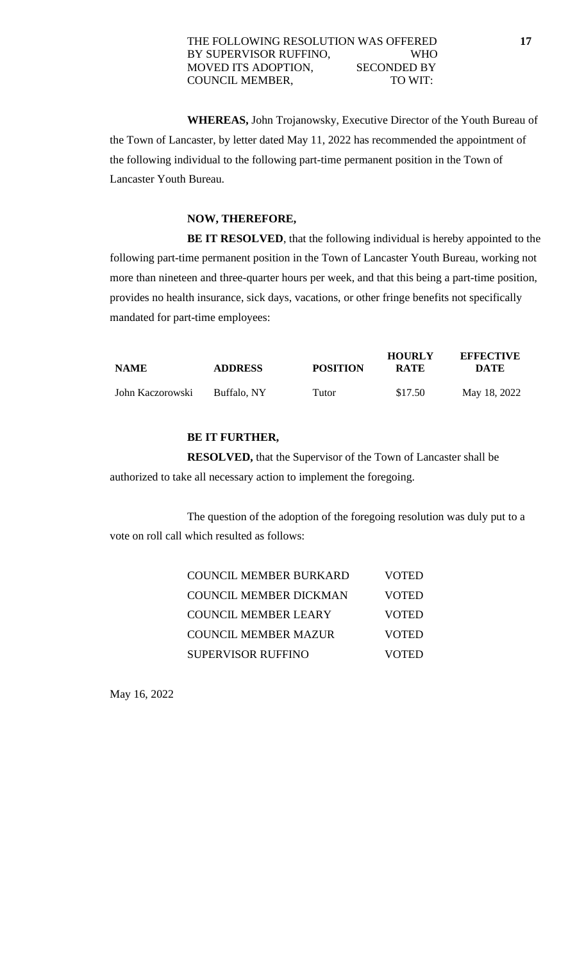#### THE FOLLOWING RESOLUTION WAS OFFERED **17** BY SUPERVISOR RUFFINO, WHO MOVED ITS ADOPTION, SECONDED BY COUNCIL MEMBER, TO WIT:

**WHEREAS,** John Trojanowsky, Executive Director of the Youth Bureau of the Town of Lancaster, by letter dated May 11, 2022 has recommended the appointment of the following individual to the following part-time permanent position in the Town of Lancaster Youth Bureau.

### **NOW, THEREFORE,**

**BE IT RESOLVED**, that the following individual is hereby appointed to the following part-time permanent position in the Town of Lancaster Youth Bureau, working not more than nineteen and three-quarter hours per week, and that this being a part-time position, provides no health insurance, sick days, vacations, or other fringe benefits not specifically mandated for part-time employees:

| <b>NAME</b>      | <b>ADDRESS</b> | <b>POSITION</b> | <b>HOURLY</b><br><b>RATE</b> | <b>EFFECTIVE</b><br>DATE |
|------------------|----------------|-----------------|------------------------------|--------------------------|
| John Kaczorowski | Buffalo, NY    | Tutor           | \$17.50                      | May 18, 2022             |

### **BE IT FURTHER,**

**RESOLVED,** that the Supervisor of the Town of Lancaster shall be authorized to take all necessary action to implement the foregoing.

The question of the adoption of the foregoing resolution was duly put to a vote on roll call which resulted as follows:

| COUNCIL MEMBER BURKARD        | <b>VOTED</b> |
|-------------------------------|--------------|
| <b>COUNCIL MEMBER DICKMAN</b> | <b>VOTED</b> |
| <b>COUNCIL MEMBER LEARY</b>   | <b>VOTED</b> |
| <b>COUNCIL MEMBER MAZUR</b>   | <b>VOTED</b> |
| <b>SUPERVISOR RUFFINO</b>     | <b>VOTED</b> |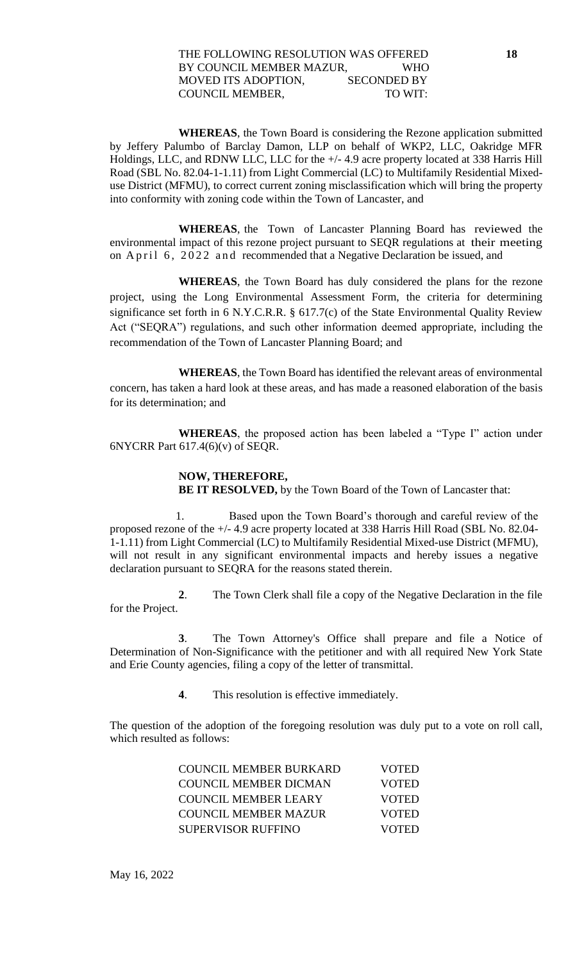**WHEREAS**, the Town Board is considering the Rezone application submitted by Jeffery Palumbo of Barclay Damon, LLP on behalf of WKP2, LLC, Oakridge MFR Holdings, LLC, and RDNW LLC, LLC for the +/- 4.9 acre property located at 338 Harris Hill Road (SBL No. 82.04-1-1.11) from Light Commercial (LC) to Multifamily Residential Mixeduse District (MFMU), to correct current zoning misclassification which will bring the property into conformity with zoning code within the Town of Lancaster, and

**WHEREAS**, the Town of Lancaster Planning Board has reviewed the environmental impact of this rezone project pursuant to SEQR regulations at their meeting on April 6, 2022 and recommended that a Negative Declaration be issued, and

**WHEREAS**, the Town Board has duly considered the plans for the rezone project, using the Long Environmental Assessment Form, the criteria for determining significance set forth in 6 N.Y.C.R.R. § 617.7(c) of the State Environmental Quality Review Act ("SEQRA") regulations, and such other information deemed appropriate, including the recommendation of the Town of Lancaster Planning Board; and

**WHEREAS**, the Town Board has identified the relevant areas of environmental concern, has taken a hard look at these areas, and has made a reasoned elaboration of the basis for its determination; and

**WHEREAS**, the proposed action has been labeled a "Type I" action under 6NYCRR Part 617.4(6)(v) of SEQR.

### **NOW, THEREFORE, BE IT RESOLVED,** by the Town Board of the Town of Lancaster that:

 1. Based upon the Town Board's thorough and careful review of the proposed rezone of the +/- 4.9 acre property located at 338 Harris Hill Road (SBL No. 82.04- 1-1.11) from Light Commercial (LC) to Multifamily Residential Mixed-use District (MFMU), will not result in any significant environmental impacts and hereby issues a negative declaration pursuant to SEQRA for the reasons stated therein.

**2**. The Town Clerk shall file a copy of the Negative Declaration in the file for the Project.

**3**. The Town Attorney's Office shall prepare and file a Notice of Determination of Non-Significance with the petitioner and with all required New York State and Erie County agencies, filing a copy of the letter of transmittal.

**4**. This resolution is effective immediately.

The question of the adoption of the foregoing resolution was duly put to a vote on roll call, which resulted as follows:

| <b>COUNCIL MEMBER BURKARD</b> | VOTED        |
|-------------------------------|--------------|
| COUNCIL MEMBER DICMAN         | <b>VOTED</b> |
| COUNCIL MEMBER LEARY          | <b>VOTED</b> |
| <b>COUNCIL MEMBER MAZUR</b>   | <b>VOTED</b> |
| SUPERVISOR RUFFINO            | VOTED        |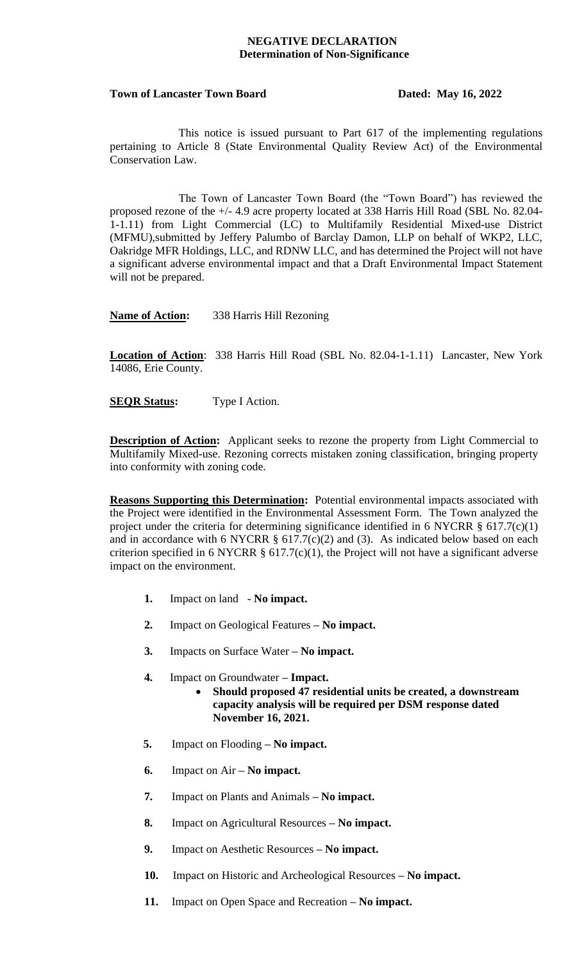#### **NEGATIVE DECLARATION Determination of Non-Significance**

#### Town of Lancaster Town Board **Dated: May 16, 2022**

This notice is issued pursuant to Part 617 of the implementing regulations pertaining to Article 8 (State Environmental Quality Review Act) of the Environmental Conservation Law.

The Town of Lancaster Town Board (the "Town Board") has reviewed the proposed rezone of the +/- 4.9 acre property located at 338 Harris Hill Road (SBL No. 82.04- 1-1.11) from Light Commercial (LC) to Multifamily Residential Mixed-use District (MFMU),submitted by Jeffery Palumbo of Barclay Damon, LLP on behalf of WKP2, LLC, Oakridge MFR Holdings, LLC, and RDNW LLC, and has determined the Project will not have a significant adverse environmental impact and that a Draft Environmental Impact Statement will not be prepared.

**Name of Action:** 338 Harris Hill Rezoning

**Location of Action**: 338 Harris Hill Road (SBL No. 82.04-1-1.11) Lancaster, New York 14086, Erie County.

**SEQR Status:** Type I Action.

**Description of Action:** Applicant seeks to rezone the property from Light Commercial to Multifamily Mixed-use. Rezoning corrects mistaken zoning classification, bringing property into conformity with zoning code.

**Reasons Supporting this Determination:** Potential environmental impacts associated with the Project were identified in the Environmental Assessment Form. The Town analyzed the project under the criteria for determining significance identified in 6 NYCRR § 617.7(c)(1) and in accordance with 6 NYCRR  $\S$  617.7(c)(2) and (3). As indicated below based on each criterion specified in 6 NYCRR  $\S$  617.7(c)(1), the Project will not have a significant adverse impact on the environment.

- **1.** Impact on land **No impact.**
- **2.** Impact on Geological Features **– No impact.**
- **3.** Impacts on Surface Water **– No impact.**
- **4.** Impact on Groundwater **– Impact.**
	- **Should proposed 47 residential units be created, a downstream capacity analysis will be required per DSM response dated November 16, 2021.**
- **5.** Impact on Flooding **– No impact.**
- **6.** Impact on Air **– No impact.**
- **7.** Impact on Plants and Animals **– No impact.**
- **8.** Impact on Agricultural Resources **– No impact.**
- **9.** Impact on Aesthetic Resources **– No impact.**
- **10.** Impact on Historic and Archeological Resources **– No impact.**
- **11.** Impact on Open Space and Recreation **– No impact.**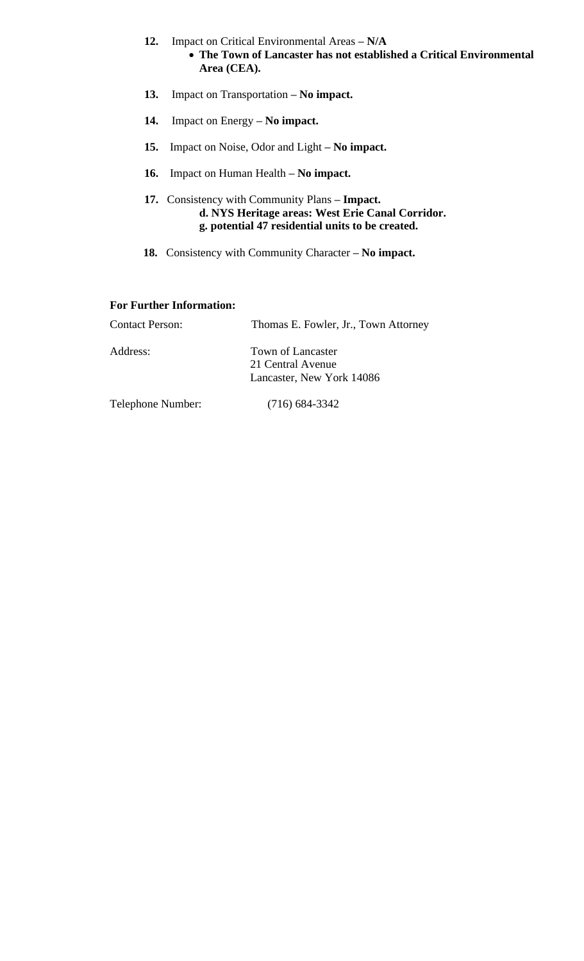- **12.** Impact on Critical Environmental Areas **– N/A**
	- **The Town of Lancaster has not established a Critical Environmental Area (CEA).**
- **13.** Impact on Transportation **– No impact.**
- **14.** Impact on Energy **– No impact.**
- **15.** Impact on Noise, Odor and Light **– No impact.**
- **16.** Impact on Human Health **– No impact.**
- **17.** Consistency with Community Plans **– Impact. d. NYS Heritage areas: West Erie Canal Corridor. g. potential 47 residential units to be created.**
- **18.** Consistency with Community Character **– No impact.**

#### **For Further Information:**

| <b>Contact Person:</b> | Thomas E. Fowler, Jr., Town Attorney |
|------------------------|--------------------------------------|
| Address:               | Town of Lancaster                    |
|                        | 21 Central Avenue                    |
|                        | Lancaster, New York 14086            |
| Telephone Number:      | $(716)$ 684-3342                     |